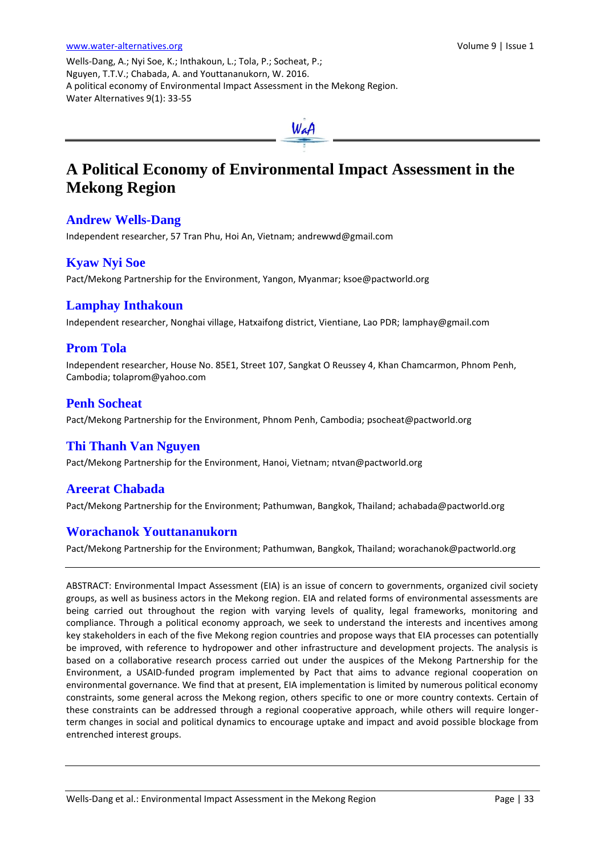Wells-Dang, A.; Nyi Soe, K.; Inthakoun, L.; Tola, P.; Socheat, P.; Nguyen, T.T.V.; Chabada, A. and Youttananukorn, W. 2016. A political economy of Environmental Impact Assessment in the Mekong Region. Water Alternatives 9(1): 33-55



# **A Political Economy of Environmental Impact Assessment in the Mekong Region**

# **Andrew Wells-Dang**

Independent researcher, 57 Tran Phu, Hoi An, Vietnam[; andrewwd@gmail.com](mailto:andrewwd@gmail.com)

# **Kyaw Nyi Soe**

Pact/Mekong Partnership for the Environment, Yangon, Myanmar; [ksoe@pactworld.org](mailto:ksoe@pactworld.org)

# **Lamphay Inthakoun**

Independent researcher, Nonghai village, Hatxaifong district, Vientiane, Lao PDR; [lamphay@gmail.com](mailto:lamphay@gmail.com)

# **Prom Tola**

Independent researcher, House No. 85E1, Street 107, Sangkat O Reussey 4, Khan Chamcarmon, Phnom Penh, Cambodia; [tolaprom@yahoo.com](mailto:tolaprom@yahoo.com)

# **Penh Socheat**

Pact/Mekong Partnership for the Environment, Phnom Penh, Cambodia; [psocheat@pactworld.org](mailto:psocheat@pactworld.org)

## **Thi Thanh Van Nguyen**

Pact/Mekong Partnership for the Environment, Hanoi, Vietnam[; ntvan@pactworld.org](mailto:ntvan@pactworld.org)

## **Areerat Chabada**

Pact/Mekong Partnership for the Environment; Pathumwan, Bangkok, Thailand; [achabada@pactworld.org](mailto:achabada@pactworld.org)

## **Worachanok Youttananukorn**

Pact/Mekong Partnership for the Environment; Pathumwan, Bangkok, Thailand; worachanok@pactworld.org

ABSTRACT: Environmental Impact Assessment (EIA) is an issue of concern to governments, organized civil society groups, as well as business actors in the Mekong region. EIA and related forms of environmental assessments are being carried out throughout the region with varying levels of quality, legal frameworks, monitoring and compliance. Through a political economy approach, we seek to understand the interests and incentives among key stakeholders in each of the five Mekong region countries and propose ways that EIA processes can potentially be improved, with reference to hydropower and other infrastructure and development projects. The analysis is based on a collaborative research process carried out under the auspices of the Mekong Partnership for the Environment, a USAID-funded program implemented by Pact that aims to advance regional cooperation on environmental governance. We find that at present, EIA implementation is limited by numerous political economy constraints, some general across the Mekong region, others specific to one or more country contexts. Certain of these constraints can be addressed through a regional cooperative approach, while others will require longerterm changes in social and political dynamics to encourage uptake and impact and avoid possible blockage from entrenched interest groups.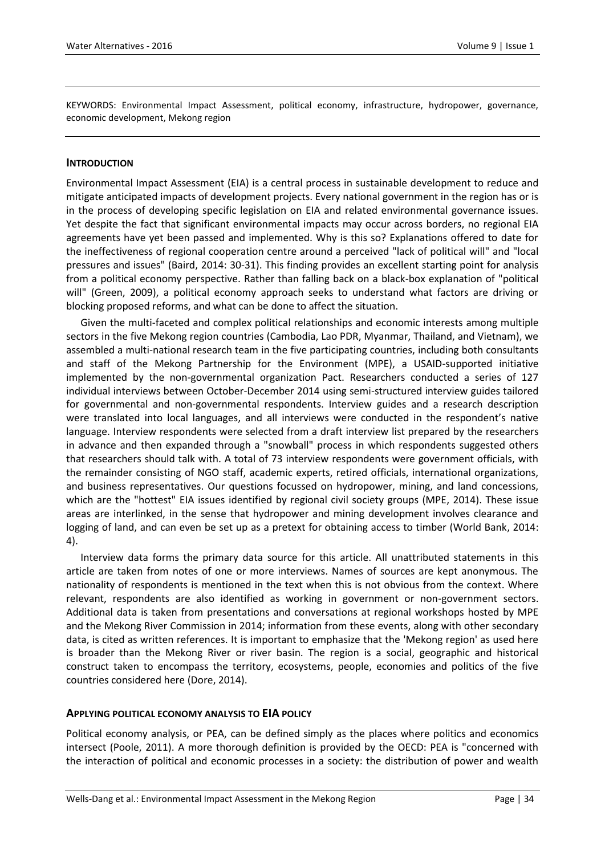KEYWORDS: Environmental Impact Assessment, political economy, infrastructure, hydropower, governance, economic development, Mekong region

#### **INTRODUCTION**

Environmental Impact Assessment (EIA) is a central process in sustainable development to reduce and mitigate anticipated impacts of development projects. Every national government in the region has or is in the process of developing specific legislation on EIA and related environmental governance issues. Yet despite the fact that significant environmental impacts may occur across borders, no regional EIA agreements have yet been passed and implemented. Why is this so? Explanations offered to date for the ineffectiveness of regional cooperation centre around a perceived "lack of political will" and "local pressures and issues" (Baird, 2014: 30-31). This finding provides an excellent starting point for analysis from a political economy perspective. Rather than falling back on a black-box explanation of "political will" (Green, 2009), a political economy approach seeks to understand what factors are driving or blocking proposed reforms, and what can be done to affect the situation.

Given the multi-faceted and complex political relationships and economic interests among multiple sectors in the five Mekong region countries (Cambodia, Lao PDR, Myanmar, Thailand, and Vietnam), we assembled a multi-national research team in the five participating countries, including both consultants and staff of the Mekong Partnership for the Environment (MPE), a USAID-supported initiative implemented by the non-governmental organization Pact. Researchers conducted a series of 127 individual interviews between October-December 2014 using semi-structured interview guides tailored for governmental and non-governmental respondents. Interview guides and a research description were translated into local languages, and all interviews were conducted in the respondent's native language. Interview respondents were selected from a draft interview list prepared by the researchers in advance and then expanded through a "snowball" process in which respondents suggested others that researchers should talk with. A total of 73 interview respondents were government officials, with the remainder consisting of NGO staff, academic experts, retired officials, international organizations, and business representatives. Our questions focussed on hydropower, mining, and land concessions, which are the "hottest" EIA issues identified by regional civil society groups (MPE, 2014). These issue areas are interlinked, in the sense that hydropower and mining development involves clearance and logging of land, and can even be set up as a pretext for obtaining access to timber (World Bank, 2014: 4).

Interview data forms the primary data source for this article. All unattributed statements in this article are taken from notes of one or more interviews. Names of sources are kept anonymous. The nationality of respondents is mentioned in the text when this is not obvious from the context. Where relevant, respondents are also identified as working in government or non-government sectors. Additional data is taken from presentations and conversations at regional workshops hosted by MPE and the Mekong River Commission in 2014; information from these events, along with other secondary data, is cited as written references. It is important to emphasize that the 'Mekong region' as used here is broader than the Mekong River or river basin. The region is a social, geographic and historical construct taken to encompass the territory, ecosystems, people, economies and politics of the five countries considered here (Dore, 2014).

## **APPLYING POLITICAL ECONOMY ANALYSIS TO EIA POLICY**

Political economy analysis, or PEA, can be defined simply as the places where politics and economics intersect (Poole, 2011). A more thorough definition is provided by the OECD: PEA is "concerned with the interaction of political and economic processes in a society: the distribution of power and wealth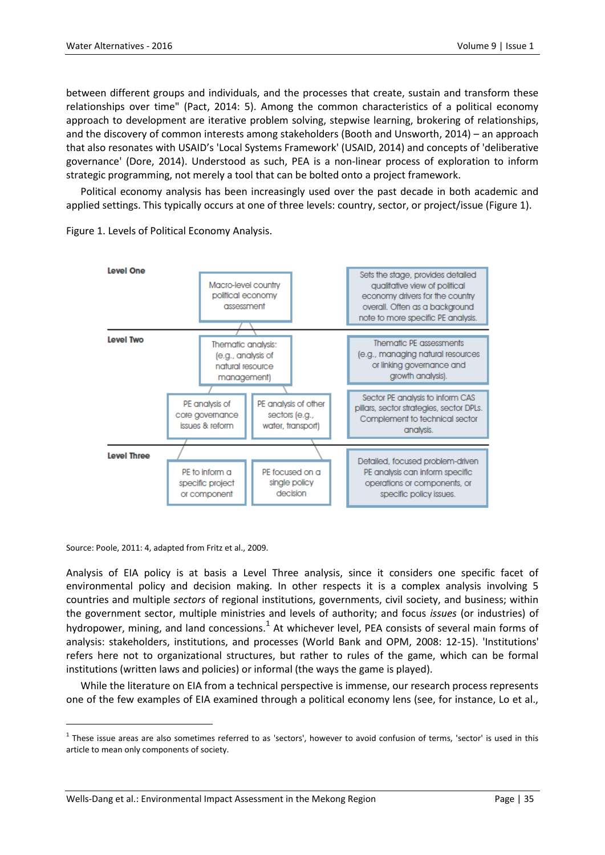between different groups and individuals, and the processes that create, sustain and transform these relationships over time" (Pact, 2014: 5). Among the common characteristics of a political economy approach to development are iterative problem solving, stepwise learning, brokering of relationships, and the discovery of common interests among stakeholders (Booth and Unsworth, 2014) – an approach that also resonates with USAID's 'Local Systems Framework' (USAID, 2014) and concepts of 'deliberative governance' (Dore, 2014). Understood as such, PEA is a non-linear process of exploration to inform strategic programming, not merely a tool that can be bolted onto a project framework.

Political economy analysis has been increasingly used over the past decade in both academic and applied settings. This typically occurs at one of three levels: country, sector, or project/issue (Figure 1).



Figure 1. Levels of Political Economy Analysis.

Source: Poole, 2011: 4, adapted from Fritz et al., 2009.

 $\overline{a}$ 

Analysis of EIA policy is at basis a Level Three analysis, since it considers one specific facet of environmental policy and decision making. In other respects it is a complex analysis involving 5 countries and multiple *sectors* of regional institutions, governments, civil society, and business; within the government sector, multiple ministries and levels of authority; and focus *issues* (or industries) of hydropower, mining, and land concessions. $^{1}$  At whichever level, PEA consists of several main forms of analysis: stakeholders, institutions, and processes (World Bank and OPM, 2008: 12-15). 'Institutions' refers here not to organizational structures, but rather to rules of the game, which can be formal institutions (written laws and policies) or informal (the ways the game is played).

While the literature on EIA from a technical perspective is immense, our research process represents one of the few examples of EIA examined through a political economy lens (see, for instance, Lo et al.,

 $<sup>1</sup>$  These issue areas are also sometimes referred to as 'sectors', however to avoid confusion of terms, 'sector' is used in this</sup> article to mean only components of society.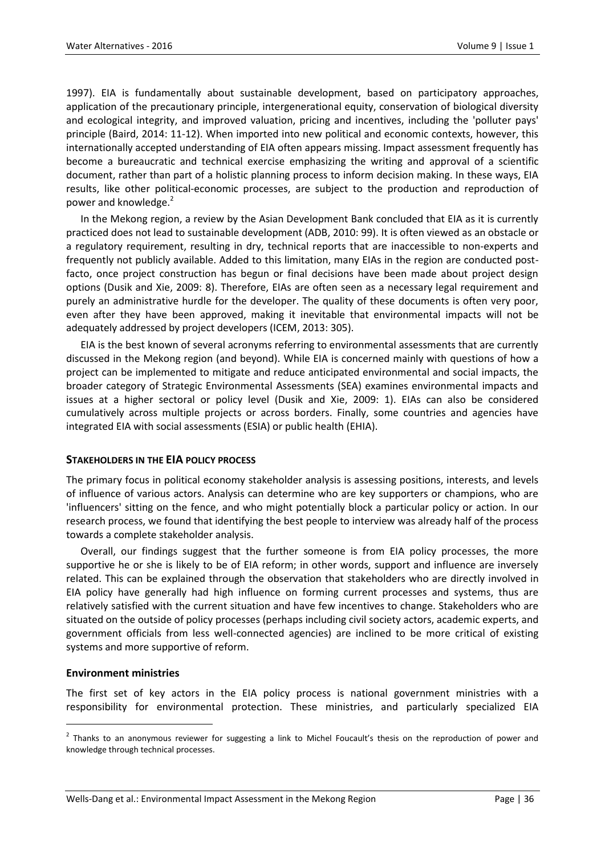1997). EIA is fundamentally about sustainable development, based on participatory approaches, application of the precautionary principle, intergenerational equity, conservation of biological diversity and ecological integrity, and improved valuation, pricing and incentives, including the 'polluter pays' principle (Baird, 2014: 11-12). When imported into new political and economic contexts, however, this internationally accepted understanding of EIA often appears missing. Impact assessment frequently has become a bureaucratic and technical exercise emphasizing the writing and approval of a scientific document, rather than part of a holistic planning process to inform decision making. In these ways, EIA results, like other political-economic processes, are subject to the production and reproduction of power and knowledge.<sup>2</sup>

In the Mekong region, a review by the Asian Development Bank concluded that EIA as it is currently practiced does not lead to sustainable development (ADB, 2010: 99). It is often viewed as an obstacle or a regulatory requirement, resulting in dry, technical reports that are inaccessible to non-experts and frequently not publicly available. Added to this limitation, many EIAs in the region are conducted postfacto, once project construction has begun or final decisions have been made about project design options (Dusik and Xie, 2009: 8). Therefore, EIAs are often seen as a necessary legal requirement and purely an administrative hurdle for the developer. The quality of these documents is often very poor, even after they have been approved, making it inevitable that environmental impacts will not be adequately addressed by project developers (ICEM, 2013: 305).

EIA is the best known of several acronyms referring to environmental assessments that are currently discussed in the Mekong region (and beyond). While EIA is concerned mainly with questions of how a project can be implemented to mitigate and reduce anticipated environmental and social impacts, the broader category of Strategic Environmental Assessments (SEA) examines environmental impacts and issues at a higher sectoral or policy level (Dusik and Xie, 2009: 1). EIAs can also be considered cumulatively across multiple projects or across borders. Finally, some countries and agencies have integrated EIA with social assessments (ESIA) or public health (EHIA).

#### **STAKEHOLDERS IN THE EIA POLICY PROCESS**

The primary focus in political economy stakeholder analysis is assessing positions, interests, and levels of influence of various actors. Analysis can determine who are key supporters or champions, who are 'influencers' sitting on the fence, and who might potentially block a particular policy or action. In our research process, we found that identifying the best people to interview was already half of the process towards a complete stakeholder analysis.

Overall, our findings suggest that the further someone is from EIA policy processes, the more supportive he or she is likely to be of EIA reform; in other words, support and influence are inversely related. This can be explained through the observation that stakeholders who are directly involved in EIA policy have generally had high influence on forming current processes and systems, thus are relatively satisfied with the current situation and have few incentives to change. Stakeholders who are situated on the outside of policy processes (perhaps including civil society actors, academic experts, and government officials from less well-connected agencies) are inclined to be more critical of existing systems and more supportive of reform.

#### **Environment ministries**

 $\overline{a}$ 

The first set of key actors in the EIA policy process is national government ministries with a responsibility for environmental protection. These ministries, and particularly specialized EIA

 $2$  Thanks to an anonymous reviewer for suggesting a link to Michel Foucault's thesis on the reproduction of power and knowledge through technical processes.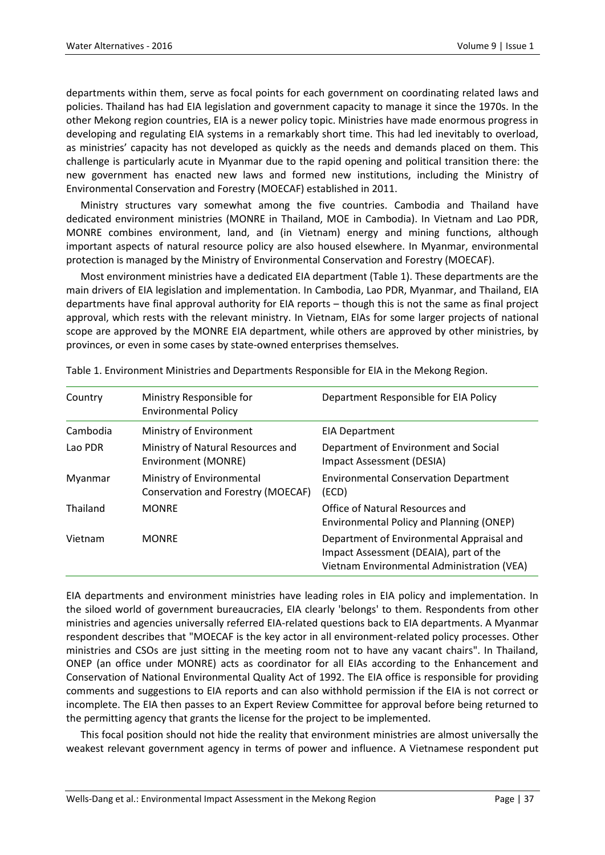departments within them, serve as focal points for each government on coordinating related laws and policies. Thailand has had EIA legislation and government capacity to manage it since the 1970s. In the other Mekong region countries, EIA is a newer policy topic. Ministries have made enormous progress in developing and regulating EIA systems in a remarkably short time. This had led inevitably to overload, as ministries' capacity has not developed as quickly as the needs and demands placed on them. This challenge is particularly acute in Myanmar due to the rapid opening and political transition there: the new government has enacted new laws and formed new institutions, including the Ministry of Environmental Conservation and Forestry (MOECAF) established in 2011.

Ministry structures vary somewhat among the five countries. Cambodia and Thailand have dedicated environment ministries (MONRE in Thailand, MOE in Cambodia). In Vietnam and Lao PDR, MONRE combines environment, land, and (in Vietnam) energy and mining functions, although important aspects of natural resource policy are also housed elsewhere. In Myanmar, environmental protection is managed by the Ministry of Environmental Conservation and Forestry (MOECAF).

Most environment ministries have a dedicated EIA department (Table 1). These departments are the main drivers of EIA legislation and implementation. In Cambodia, Lao PDR, Myanmar, and Thailand, EIA departments have final approval authority for EIA reports – though this is not the same as final project approval, which rests with the relevant ministry. In Vietnam, EIAs for some larger projects of national scope are approved by the MONRE EIA department, while others are approved by other ministries, by provinces, or even in some cases by state-owned enterprises themselves.

| Country  | Ministry Responsible for<br><b>Environmental Policy</b>         | Department Responsible for EIA Policy                                                                                             |
|----------|-----------------------------------------------------------------|-----------------------------------------------------------------------------------------------------------------------------------|
| Cambodia | Ministry of Environment                                         | EIA Department                                                                                                                    |
| Lao PDR  | Ministry of Natural Resources and<br>Environment (MONRE)        | Department of Environment and Social<br><b>Impact Assessment (DESIA)</b>                                                          |
| Myanmar  | Ministry of Environmental<br>Conservation and Forestry (MOECAF) | <b>Environmental Conservation Department</b><br>(ECD)                                                                             |
| Thailand | <b>MONRF</b>                                                    | Office of Natural Resources and<br>Environmental Policy and Planning (ONEP)                                                       |
| Vietnam  | <b>MONRE</b>                                                    | Department of Environmental Appraisal and<br>Impact Assessment (DEAIA), part of the<br>Vietnam Environmental Administration (VEA) |

Table 1. Environment Ministries and Departments Responsible for EIA in the Mekong Region.

EIA departments and environment ministries have leading roles in EIA policy and implementation. In the siloed world of government bureaucracies, EIA clearly 'belongs' to them. Respondents from other ministries and agencies universally referred EIA-related questions back to EIA departments. A Myanmar respondent describes that "MOECAF is the key actor in all environment-related policy processes. Other ministries and CSOs are just sitting in the meeting room not to have any vacant chairs". In Thailand, ONEP (an office under MONRE) acts as coordinator for all EIAs according to the Enhancement and Conservation of National Environmental Quality Act of 1992. The EIA office is responsible for providing comments and suggestions to EIA reports and can also withhold permission if the EIA is not correct or incomplete. The EIA then passes to an Expert Review Committee for approval before being returned to the permitting agency that grants the license for the project to be implemented.

This focal position should not hide the reality that environment ministries are almost universally the weakest relevant government agency in terms of power and influence. A Vietnamese respondent put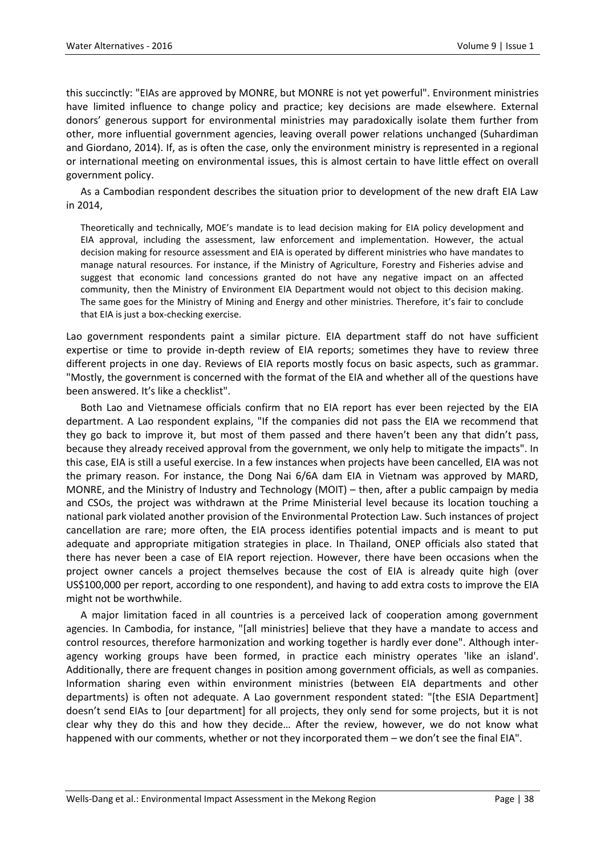this succinctly: "EIAs are approved by MONRE, but MONRE is not yet powerful". Environment ministries have limited influence to change policy and practice; key decisions are made elsewhere. External donors' generous support for environmental ministries may paradoxically isolate them further from other, more influential government agencies, leaving overall power relations unchanged (Suhardiman and Giordano, 2014). If, as is often the case, only the environment ministry is represented in a regional or international meeting on environmental issues, this is almost certain to have little effect on overall government policy.

As a Cambodian respondent describes the situation prior to development of the new draft EIA Law in 2014,

Theoretically and technically, MOE's mandate is to lead decision making for EIA policy development and EIA approval, including the assessment, law enforcement and implementation. However, the actual decision making for resource assessment and EIA is operated by different ministries who have mandates to manage natural resources. For instance, if the Ministry of Agriculture, Forestry and Fisheries advise and suggest that economic land concessions granted do not have any negative impact on an affected community, then the Ministry of Environment EIA Department would not object to this decision making. The same goes for the Ministry of Mining and Energy and other ministries. Therefore, it's fair to conclude that EIA is just a box-checking exercise.

Lao government respondents paint a similar picture. EIA department staff do not have sufficient expertise or time to provide in-depth review of EIA reports; sometimes they have to review three different projects in one day. Reviews of EIA reports mostly focus on basic aspects, such as grammar. "Mostly, the government is concerned with the format of the EIA and whether all of the questions have been answered. It's like a checklist".

Both Lao and Vietnamese officials confirm that no EIA report has ever been rejected by the EIA department. A Lao respondent explains, "If the companies did not pass the EIA we recommend that they go back to improve it, but most of them passed and there haven't been any that didn't pass, because they already received approval from the government, we only help to mitigate the impacts". In this case, EIA is still a useful exercise. In a few instances when projects have been cancelled, EIA was not the primary reason. For instance, the Dong Nai 6/6A dam EIA in Vietnam was approved by MARD, MONRE, and the Ministry of Industry and Technology (MOIT) – then, after a public campaign by media and CSOs, the project was withdrawn at the Prime Ministerial level because its location touching a national park violated another provision of the Environmental Protection Law. Such instances of project cancellation are rare; more often, the EIA process identifies potential impacts and is meant to put adequate and appropriate mitigation strategies in place. In Thailand, ONEP officials also stated that there has never been a case of EIA report rejection. However, there have been occasions when the project owner cancels a project themselves because the cost of EIA is already quite high (over US\$100,000 per report, according to one respondent), and having to add extra costs to improve the EIA might not be worthwhile.

A major limitation faced in all countries is a perceived lack of cooperation among government agencies. In Cambodia, for instance, "[all ministries] believe that they have a mandate to access and control resources, therefore harmonization and working together is hardly ever done". Although interagency working groups have been formed, in practice each ministry operates 'like an island'. Additionally, there are frequent changes in position among government officials, as well as companies. Information sharing even within environment ministries (between EIA departments and other departments) is often not adequate. A Lao government respondent stated: "[the ESIA Department] doesn't send EIAs to [our department] for all projects, they only send for some projects, but it is not clear why they do this and how they decide… After the review, however, we do not know what happened with our comments, whether or not they incorporated them – we don't see the final EIA".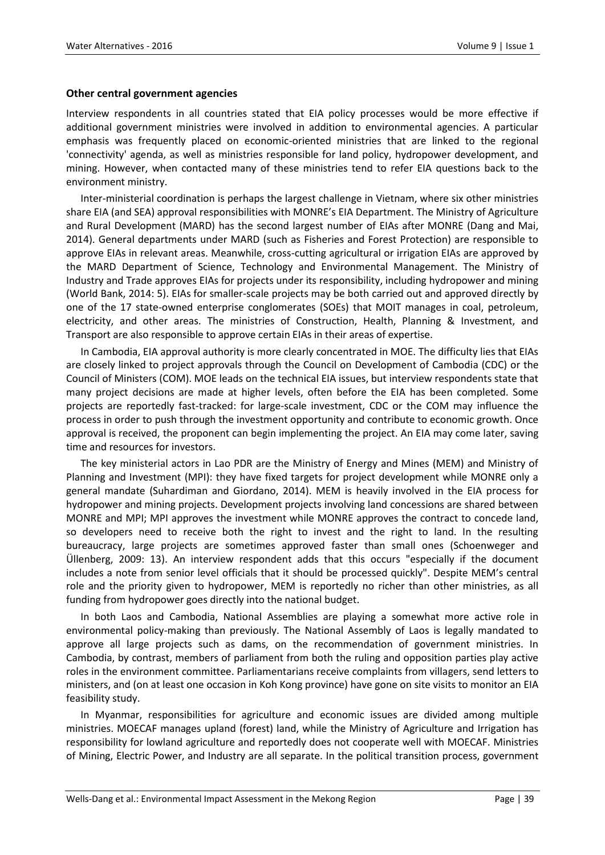#### **Other central government agencies**

Interview respondents in all countries stated that EIA policy processes would be more effective if additional government ministries were involved in addition to environmental agencies. A particular emphasis was frequently placed on economic-oriented ministries that are linked to the regional 'connectivity' agenda, as well as ministries responsible for land policy, hydropower development, and mining. However, when contacted many of these ministries tend to refer EIA questions back to the environment ministry.

Inter-ministerial coordination is perhaps the largest challenge in Vietnam, where six other ministries share EIA (and SEA) approval responsibilities with MONRE's EIA Department. The Ministry of Agriculture and Rural Development (MARD) has the second largest number of EIAs after MONRE (Dang and Mai, 2014). General departments under MARD (such as Fisheries and Forest Protection) are responsible to approve EIAs in relevant areas. Meanwhile, cross-cutting agricultural or irrigation EIAs are approved by the MARD Department of Science, Technology and Environmental Management. The Ministry of Industry and Trade approves EIAs for projects under its responsibility, including hydropower and mining (World Bank, 2014: 5). EIAs for smaller-scale projects may be both carried out and approved directly by one of the 17 state-owned enterprise conglomerates (SOEs) that MOIT manages in coal, petroleum, electricity, and other areas. The ministries of Construction, Health, Planning & Investment, and Transport are also responsible to approve certain EIAs in their areas of expertise.

In Cambodia, EIA approval authority is more clearly concentrated in MOE. The difficulty lies that EIAs are closely linked to project approvals through the Council on Development of Cambodia (CDC) or the Council of Ministers (COM). MOE leads on the technical EIA issues, but interview respondents state that many project decisions are made at higher levels, often before the EIA has been completed. Some projects are reportedly fast-tracked: for large-scale investment, CDC or the COM may influence the process in order to push through the investment opportunity and contribute to economic growth. Once approval is received, the proponent can begin implementing the project. An EIA may come later, saving time and resources for investors.

The key ministerial actors in Lao PDR are the Ministry of Energy and Mines (MEM) and Ministry of Planning and Investment (MPI): they have fixed targets for project development while MONRE only a general mandate (Suhardiman and Giordano, 2014). MEM is heavily involved in the EIA process for hydropower and mining projects. Development projects involving land concessions are shared between MONRE and MPI; MPI approves the investment while MONRE approves the contract to concede land, so developers need to receive both the right to invest and the right to land. In the resulting bureaucracy, large projects are sometimes approved faster than small ones (Schoenweger and Üllenberg, 2009: 13). An interview respondent adds that this occurs "especially if the document includes a note from senior level officials that it should be processed quickly". Despite MEM's central role and the priority given to hydropower, MEM is reportedly no richer than other ministries, as all funding from hydropower goes directly into the national budget.

In both Laos and Cambodia, National Assemblies are playing a somewhat more active role in environmental policy-making than previously. The National Assembly of Laos is legally mandated to approve all large projects such as dams, on the recommendation of government ministries. In Cambodia, by contrast, members of parliament from both the ruling and opposition parties play active roles in the environment committee. Parliamentarians receive complaints from villagers, send letters to ministers, and (on at least one occasion in Koh Kong province) have gone on site visits to monitor an EIA feasibility study.

In Myanmar, responsibilities for agriculture and economic issues are divided among multiple ministries. MOECAF manages upland (forest) land, while the Ministry of Agriculture and Irrigation has responsibility for lowland agriculture and reportedly does not cooperate well with MOECAF. Ministries of Mining, Electric Power, and Industry are all separate. In the political transition process, government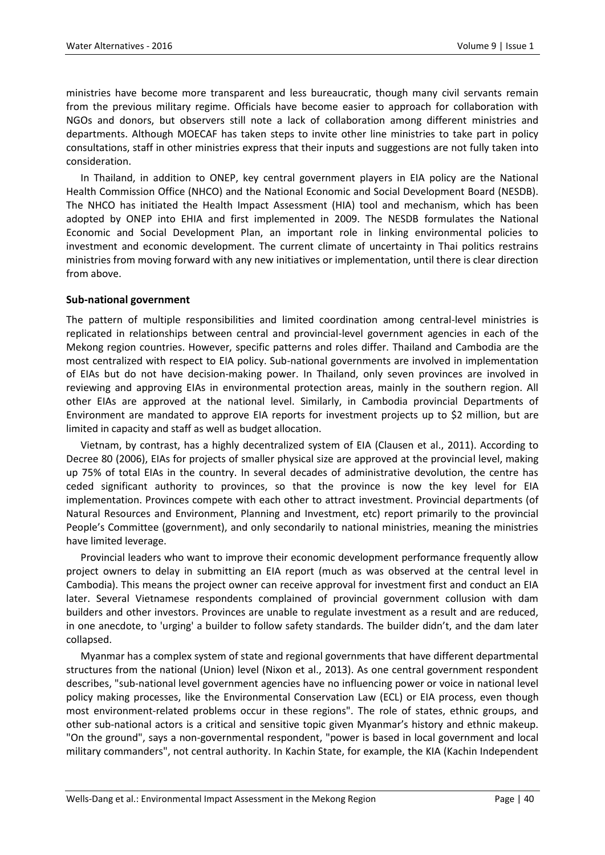ministries have become more transparent and less bureaucratic, though many civil servants remain from the previous military regime. Officials have become easier to approach for collaboration with NGOs and donors, but observers still note a lack of collaboration among different ministries and departments. Although MOECAF has taken steps to invite other line ministries to take part in policy consultations, staff in other ministries express that their inputs and suggestions are not fully taken into consideration.

In Thailand, in addition to ONEP, key central government players in EIA policy are the National Health Commission Office (NHCO) and the National Economic and Social Development Board (NESDB). The NHCO has initiated the Health Impact Assessment (HIA) tool and mechanism, which has been adopted by ONEP into EHIA and first implemented in 2009. The NESDB formulates the National Economic and Social Development Plan, an important role in linking environmental policies to investment and economic development. The current climate of uncertainty in Thai politics restrains ministries from moving forward with any new initiatives or implementation, until there is clear direction from above.

## **Sub-national government**

The pattern of multiple responsibilities and limited coordination among central-level ministries is replicated in relationships between central and provincial-level government agencies in each of the Mekong region countries. However, specific patterns and roles differ. Thailand and Cambodia are the most centralized with respect to EIA policy. Sub-national governments are involved in implementation of EIAs but do not have decision-making power. In Thailand, only seven provinces are involved in reviewing and approving EIAs in environmental protection areas, mainly in the southern region. All other EIAs are approved at the national level. Similarly, in Cambodia provincial Departments of Environment are mandated to approve EIA reports for investment projects up to \$2 million, but are limited in capacity and staff as well as budget allocation.

Vietnam, by contrast, has a highly decentralized system of EIA (Clausen et al., 2011). According to Decree 80 (2006), EIAs for projects of smaller physical size are approved at the provincial level, making up 75% of total EIAs in the country. In several decades of administrative devolution, the centre has ceded significant authority to provinces, so that the province is now the key level for EIA implementation. Provinces compete with each other to attract investment. Provincial departments (of Natural Resources and Environment, Planning and Investment, etc) report primarily to the provincial People's Committee (government), and only secondarily to national ministries, meaning the ministries have limited leverage.

Provincial leaders who want to improve their economic development performance frequently allow project owners to delay in submitting an EIA report (much as was observed at the central level in Cambodia). This means the project owner can receive approval for investment first and conduct an EIA later. Several Vietnamese respondents complained of provincial government collusion with dam builders and other investors. Provinces are unable to regulate investment as a result and are reduced, in one anecdote, to 'urging' a builder to follow safety standards. The builder didn't, and the dam later collapsed.

Myanmar has a complex system of state and regional governments that have different departmental structures from the national (Union) level (Nixon et al., 2013). As one central government respondent describes, "sub-national level government agencies have no influencing power or voice in national level policy making processes, like the Environmental Conservation Law (ECL) or EIA process, even though most environment-related problems occur in these regions". The role of states, ethnic groups, and other sub-national actors is a critical and sensitive topic given Myanmar's history and ethnic makeup. "On the ground", says a non-governmental respondent, "power is based in local government and local military commanders", not central authority. In Kachin State, for example, the KIA (Kachin Independent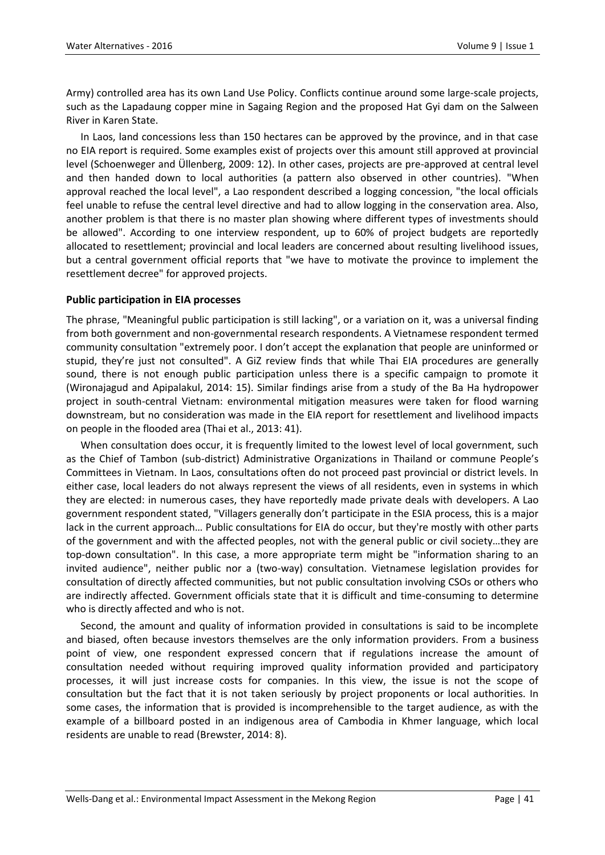Army) controlled area has its own Land Use Policy. Conflicts continue around some large-scale projects, such as the Lapadaung copper mine in Sagaing Region and the proposed Hat Gyi dam on the Salween River in Karen State.

In Laos, land concessions less than 150 hectares can be approved by the province, and in that case no EIA report is required. Some examples exist of projects over this amount still approved at provincial level (Schoenweger and Üllenberg, 2009: 12). In other cases, projects are pre-approved at central level and then handed down to local authorities (a pattern also observed in other countries). "When approval reached the local level", a Lao respondent described a logging concession, "the local officials feel unable to refuse the central level directive and had to allow logging in the conservation area. Also, another problem is that there is no master plan showing where different types of investments should be allowed". According to one interview respondent, up to 60% of project budgets are reportedly allocated to resettlement; provincial and local leaders are concerned about resulting livelihood issues, but a central government official reports that "we have to motivate the province to implement the resettlement decree" for approved projects.

#### **Public participation in EIA processes**

The phrase, "Meaningful public participation is still lacking", or a variation on it, was a universal finding from both government and non-governmental research respondents. A Vietnamese respondent termed community consultation "extremely poor. I don't accept the explanation that people are uninformed or stupid, they're just not consulted". A GiZ review finds that while Thai EIA procedures are generally sound, there is not enough public participation unless there is a specific campaign to promote it (Wironajagud and Apipalakul, 2014: 15). Similar findings arise from a study of the Ba Ha hydropower project in south-central Vietnam: environmental mitigation measures were taken for flood warning downstream, but no consideration was made in the EIA report for resettlement and livelihood impacts on people in the flooded area (Thai et al., 2013: 41).

When consultation does occur, it is frequently limited to the lowest level of local government, such as the Chief of Tambon (sub-district) Administrative Organizations in Thailand or commune People's Committees in Vietnam. In Laos, consultations often do not proceed past provincial or district levels. In either case, local leaders do not always represent the views of all residents, even in systems in which they are elected: in numerous cases, they have reportedly made private deals with developers. A Lao government respondent stated, "Villagers generally don't participate in the ESIA process, this is a major lack in the current approach… Public consultations for EIA do occur, but they're mostly with other parts of the government and with the affected peoples, not with the general public or civil society…they are top-down consultation". In this case, a more appropriate term might be "information sharing to an invited audience", neither public nor a (two-way) consultation. Vietnamese legislation provides for consultation of directly affected communities, but not public consultation involving CSOs or others who are indirectly affected. Government officials state that it is difficult and time-consuming to determine who is directly affected and who is not.

Second, the amount and quality of information provided in consultations is said to be incomplete and biased, often because investors themselves are the only information providers. From a business point of view, one respondent expressed concern that if regulations increase the amount of consultation needed without requiring improved quality information provided and participatory processes, it will just increase costs for companies. In this view, the issue is not the scope of consultation but the fact that it is not taken seriously by project proponents or local authorities. In some cases, the information that is provided is incomprehensible to the target audience, as with the example of a billboard posted in an indigenous area of Cambodia in Khmer language, which local residents are unable to read (Brewster, 2014: 8).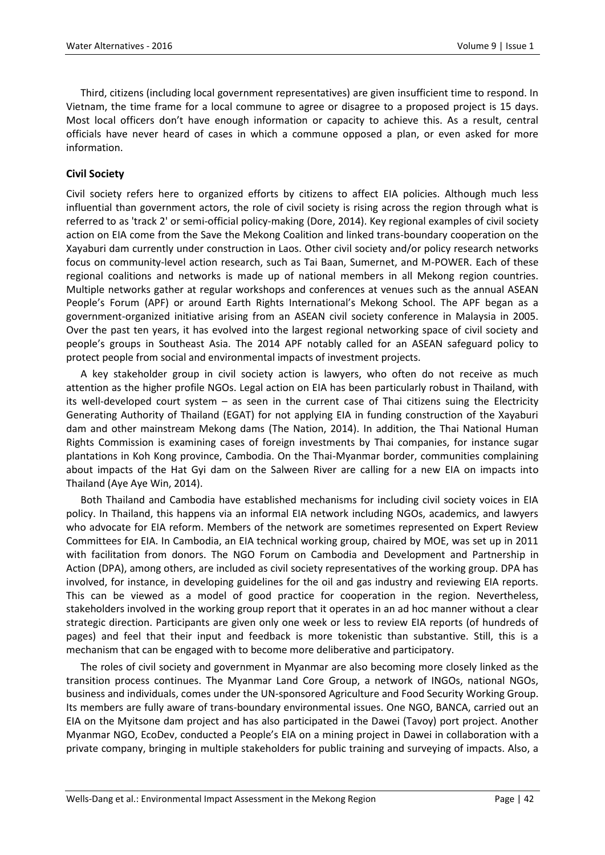Third, citizens (including local government representatives) are given insufficient time to respond. In Vietnam, the time frame for a local commune to agree or disagree to a proposed project is 15 days. Most local officers don't have enough information or capacity to achieve this. As a result, central officials have never heard of cases in which a commune opposed a plan, or even asked for more information.

## **Civil Society**

Civil society refers here to organized efforts by citizens to affect EIA policies. Although much less influential than government actors, the role of civil society is rising across the region through what is referred to as 'track 2' or semi-official policy-making (Dore, 2014). Key regional examples of civil society action on EIA come from the Save the Mekong Coalition and linked trans-boundary cooperation on the Xayaburi dam currently under construction in Laos. Other civil society and/or policy research networks focus on community-level action research, such as Tai Baan, Sumernet, and M-POWER. Each of these regional coalitions and networks is made up of national members in all Mekong region countries. Multiple networks gather at regular workshops and conferences at venues such as the annual ASEAN People's Forum (APF) or around Earth Rights International's Mekong School. The APF began as a government-organized initiative arising from an ASEAN civil society conference in Malaysia in 2005. Over the past ten years, it has evolved into the largest regional networking space of civil society and people's groups in Southeast Asia. The 2014 APF notably called for an ASEAN safeguard policy to protect people from social and environmental impacts of investment projects.

A key stakeholder group in civil society action is lawyers, who often do not receive as much attention as the higher profile NGOs. Legal action on EIA has been particularly robust in Thailand, with its well-developed court system – as seen in the current case of Thai citizens suing the Electricity Generating Authority of Thailand (EGAT) for not applying EIA in funding construction of the Xayaburi dam and other mainstream Mekong dams (The Nation, 2014). In addition, the Thai National Human Rights Commission is examining cases of foreign investments by Thai companies, for instance sugar plantations in Koh Kong province, Cambodia. On the Thai-Myanmar border, communities complaining about impacts of the Hat Gyi dam on the Salween River are calling for a new EIA on impacts into Thailand (Aye Aye Win, 2014).

Both Thailand and Cambodia have established mechanisms for including civil society voices in EIA policy. In Thailand, this happens via an informal EIA network including NGOs, academics, and lawyers who advocate for EIA reform. Members of the network are sometimes represented on Expert Review Committees for EIA. In Cambodia, an EIA technical working group, chaired by MOE, was set up in 2011 with facilitation from donors. The NGO Forum on Cambodia and Development and Partnership in Action (DPA), among others, are included as civil society representatives of the working group. DPA has involved, for instance, in developing guidelines for the oil and gas industry and reviewing EIA reports. This can be viewed as a model of good practice for cooperation in the region. Nevertheless, stakeholders involved in the working group report that it operates in an ad hoc manner without a clear strategic direction. Participants are given only one week or less to review EIA reports (of hundreds of pages) and feel that their input and feedback is more tokenistic than substantive. Still, this is a mechanism that can be engaged with to become more deliberative and participatory.

The roles of civil society and government in Myanmar are also becoming more closely linked as the transition process continues. The Myanmar Land Core Group, a network of INGOs, national NGOs, business and individuals, comes under the UN-sponsored Agriculture and Food Security Working Group. Its members are fully aware of trans-boundary environmental issues. One NGO, BANCA, carried out an EIA on the Myitsone dam project and has also participated in the Dawei (Tavoy) port project. Another Myanmar NGO, EcoDev, conducted a People's EIA on a mining project in Dawei in collaboration with a private company, bringing in multiple stakeholders for public training and surveying of impacts. Also, a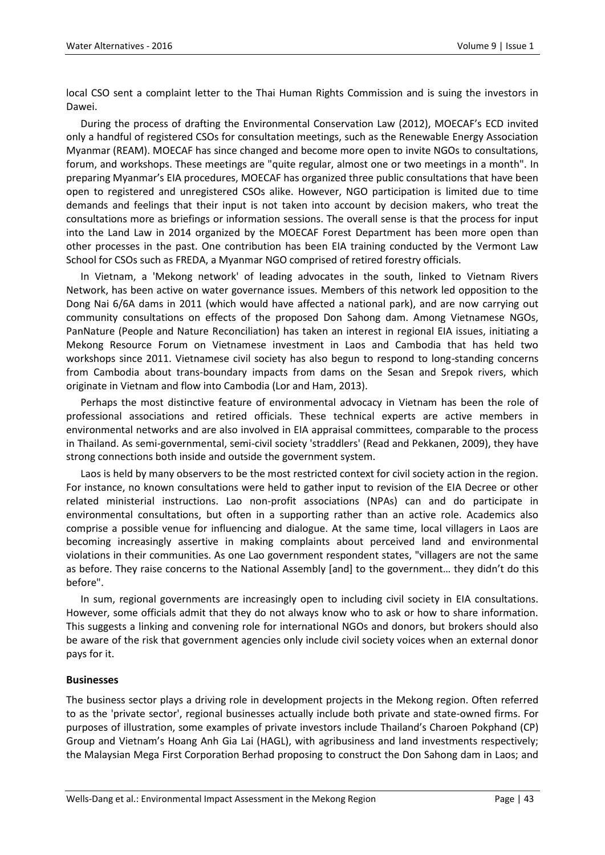local CSO sent a complaint letter to the Thai Human Rights Commission and is suing the investors in Dawei.

During the process of drafting the Environmental Conservation Law (2012), MOECAF's ECD invited only a handful of registered CSOs for consultation meetings, such as the Renewable Energy Association Myanmar (REAM). MOECAF has since changed and become more open to invite NGOs to consultations, forum, and workshops. These meetings are "quite regular, almost one or two meetings in a month". In preparing Myanmar's EIA procedures, MOECAF has organized three public consultations that have been open to registered and unregistered CSOs alike. However, NGO participation is limited due to time demands and feelings that their input is not taken into account by decision makers, who treat the consultations more as briefings or information sessions. The overall sense is that the process for input into the Land Law in 2014 organized by the MOECAF Forest Department has been more open than other processes in the past. One contribution has been EIA training conducted by the Vermont Law School for CSOs such as FREDA, a Myanmar NGO comprised of retired forestry officials.

In Vietnam, a 'Mekong network' of leading advocates in the south, linked to Vietnam Rivers Network, has been active on water governance issues. Members of this network led opposition to the Dong Nai 6/6A dams in 2011 (which would have affected a national park), and are now carrying out community consultations on effects of the proposed Don Sahong dam. Among Vietnamese NGOs, PanNature (People and Nature Reconciliation) has taken an interest in regional EIA issues, initiating a Mekong Resource Forum on Vietnamese investment in Laos and Cambodia that has held two workshops since 2011. Vietnamese civil society has also begun to respond to long-standing concerns from Cambodia about trans-boundary impacts from dams on the Sesan and Srepok rivers, which originate in Vietnam and flow into Cambodia (Lor and Ham, 2013).

Perhaps the most distinctive feature of environmental advocacy in Vietnam has been the role of professional associations and retired officials. These technical experts are active members in environmental networks and are also involved in EIA appraisal committees, comparable to the process in Thailand. As semi-governmental, semi-civil society 'straddlers' (Read and Pekkanen, 2009), they have strong connections both inside and outside the government system.

Laos is held by many observers to be the most restricted context for civil society action in the region. For instance, no known consultations were held to gather input to revision of the EIA Decree or other related ministerial instructions. Lao non-profit associations (NPAs) can and do participate in environmental consultations, but often in a supporting rather than an active role. Academics also comprise a possible venue for influencing and dialogue. At the same time, local villagers in Laos are becoming increasingly assertive in making complaints about perceived land and environmental violations in their communities. As one Lao government respondent states, "villagers are not the same as before. They raise concerns to the National Assembly [and] to the government… they didn't do this before".

In sum, regional governments are increasingly open to including civil society in EIA consultations. However, some officials admit that they do not always know who to ask or how to share information. This suggests a linking and convening role for international NGOs and donors, but brokers should also be aware of the risk that government agencies only include civil society voices when an external donor pays for it.

#### **Businesses**

The business sector plays a driving role in development projects in the Mekong region. Often referred to as the 'private sector', regional businesses actually include both private and state-owned firms. For purposes of illustration, some examples of private investors include Thailand's Charoen Pokphand (CP) Group and Vietnam's Hoang Anh Gia Lai (HAGL), with agribusiness and land investments respectively; the Malaysian Mega First Corporation Berhad proposing to construct the Don Sahong dam in Laos; and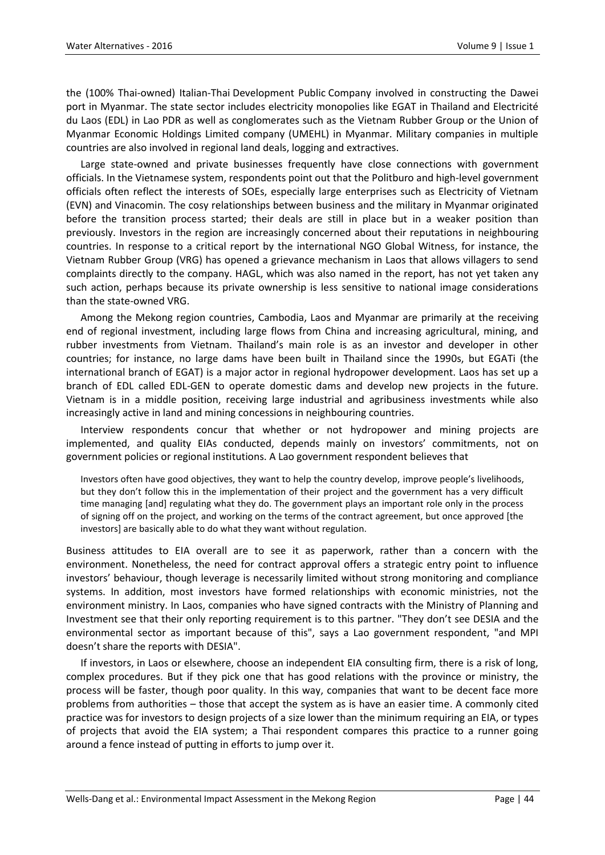the (100% Thai-owned) Italian-Thai Development Public Company involved in constructing the Dawei port in Myanmar. The state sector includes electricity monopolies like EGAT in Thailand and Electricité du Laos (EDL) in Lao PDR as well as conglomerates such as the Vietnam Rubber Group or the Union of Myanmar Economic Holdings Limited company (UMEHL) in Myanmar. Military companies in multiple countries are also involved in regional land deals, logging and extractives.

Large state-owned and private businesses frequently have close connections with government officials. In the Vietnamese system, respondents point out that the Politburo and high-level government officials often reflect the interests of SOEs, especially large enterprises such as Electricity of Vietnam (EVN) and Vinacomin. The cosy relationships between business and the military in Myanmar originated before the transition process started; their deals are still in place but in a weaker position than previously. Investors in the region are increasingly concerned about their reputations in neighbouring countries. In response to a critical report by the international NGO Global Witness, for instance, the Vietnam Rubber Group (VRG) has opened a grievance mechanism in Laos that allows villagers to send complaints directly to the company. HAGL, which was also named in the report, has not yet taken any such action, perhaps because its private ownership is less sensitive to national image considerations than the state-owned VRG.

Among the Mekong region countries, Cambodia, Laos and Myanmar are primarily at the receiving end of regional investment, including large flows from China and increasing agricultural, mining, and rubber investments from Vietnam. Thailand's main role is as an investor and developer in other countries; for instance, no large dams have been built in Thailand since the 1990s, but EGATi (the international branch of EGAT) is a major actor in regional hydropower development. Laos has set up a branch of EDL called EDL-GEN to operate domestic dams and develop new projects in the future. Vietnam is in a middle position, receiving large industrial and agribusiness investments while also increasingly active in land and mining concessions in neighbouring countries.

Interview respondents concur that whether or not hydropower and mining projects are implemented, and quality EIAs conducted, depends mainly on investors' commitments, not on government policies or regional institutions. A Lao government respondent believes that

Investors often have good objectives, they want to help the country develop, improve people's livelihoods, but they don't follow this in the implementation of their project and the government has a very difficult time managing [and] regulating what they do. The government plays an important role only in the process of signing off on the project, and working on the terms of the contract agreement, but once approved [the investors] are basically able to do what they want without regulation.

Business attitudes to EIA overall are to see it as paperwork, rather than a concern with the environment. Nonetheless, the need for contract approval offers a strategic entry point to influence investors' behaviour, though leverage is necessarily limited without strong monitoring and compliance systems. In addition, most investors have formed relationships with economic ministries, not the environment ministry. In Laos, companies who have signed contracts with the Ministry of Planning and Investment see that their only reporting requirement is to this partner. "They don't see DESIA and the environmental sector as important because of this", says a Lao government respondent, "and MPI doesn't share the reports with DESIA".

If investors, in Laos or elsewhere, choose an independent EIA consulting firm, there is a risk of long, complex procedures. But if they pick one that has good relations with the province or ministry, the process will be faster, though poor quality. In this way, companies that want to be decent face more problems from authorities – those that accept the system as is have an easier time. A commonly cited practice was for investors to design projects of a size lower than the minimum requiring an EIA, or types of projects that avoid the EIA system; a Thai respondent compares this practice to a runner going around a fence instead of putting in efforts to jump over it.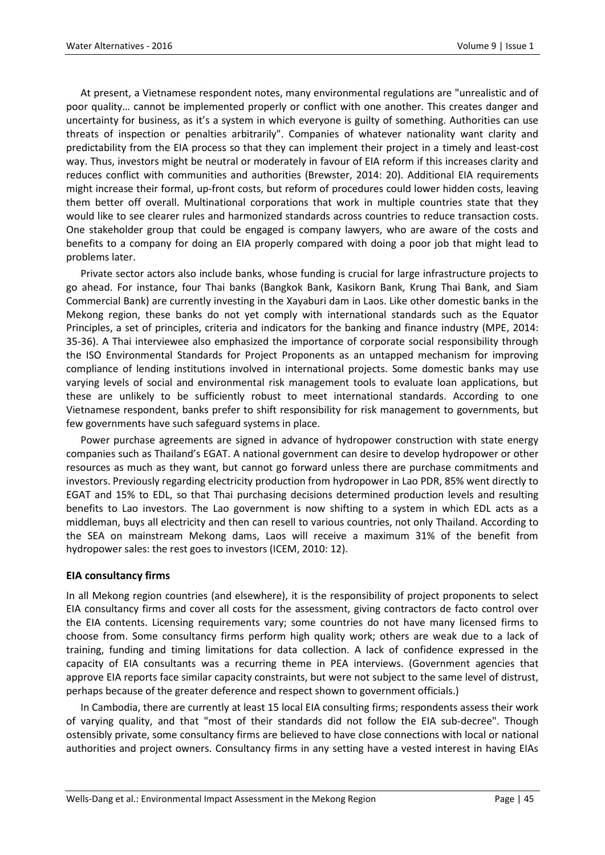At present, a Vietnamese respondent notes, many environmental regulations are "unrealistic and of poor quality… cannot be implemented properly or conflict with one another. This creates danger and uncertainty for business, as it's a system in which everyone is guilty of something. Authorities can use threats of inspection or penalties arbitrarily". Companies of whatever nationality want clarity and predictability from the EIA process so that they can implement their project in a timely and least-cost way. Thus, investors might be neutral or moderately in favour of EIA reform if this increases clarity and reduces conflict with communities and authorities (Brewster, 2014: 20). Additional EIA requirements might increase their formal, up-front costs, but reform of procedures could lower hidden costs, leaving them better off overall. Multinational corporations that work in multiple countries state that they would like to see clearer rules and harmonized standards across countries to reduce transaction costs. One stakeholder group that could be engaged is company lawyers, who are aware of the costs and benefits to a company for doing an EIA properly compared with doing a poor job that might lead to problems later.

Private sector actors also include banks, whose funding is crucial for large infrastructure projects to go ahead. For instance, four Thai banks (Bangkok Bank, Kasikorn Bank, Krung Thai Bank, and Siam Commercial Bank) are currently investing in the Xayaburi dam in Laos. Like other domestic banks in the Mekong region, these banks do not yet comply with international standards such as the Equator Principles, a set of principles, criteria and indicators for the banking and finance industry (MPE, 2014: 35-36). A Thai interviewee also emphasized the importance of corporate social responsibility through the ISO Environmental Standards for Project Proponents as an untapped mechanism for improving compliance of lending institutions involved in international projects. Some domestic banks may use varying levels of social and environmental risk management tools to evaluate loan applications, but these are unlikely to be sufficiently robust to meet international standards. According to one Vietnamese respondent, banks prefer to shift responsibility for risk management to governments, but few governments have such safeguard systems in place.

Power purchase agreements are signed in advance of hydropower construction with state energy companies such as Thailand's EGAT. A national government can desire to develop hydropower or other resources as much as they want, but cannot go forward unless there are purchase commitments and investors. Previously regarding electricity production from hydropower in Lao PDR, 85% went directly to EGAT and 15% to EDL, so that Thai purchasing decisions determined production levels and resulting benefits to Lao investors. The Lao government is now shifting to a system in which EDL acts as a middleman, buys all electricity and then can resell to various countries, not only Thailand. According to the SEA on mainstream Mekong dams, Laos will receive a maximum 31% of the benefit from hydropower sales: the rest goes to investors (ICEM, 2010: 12).

#### **EIA consultancy firms**

In all Mekong region countries (and elsewhere), it is the responsibility of project proponents to select EIA consultancy firms and cover all costs for the assessment, giving contractors de facto control over the EIA contents. Licensing requirements vary; some countries do not have many licensed firms to choose from. Some consultancy firms perform high quality work; others are weak due to a lack of training, funding and timing limitations for data collection. A lack of confidence expressed in the capacity of EIA consultants was a recurring theme in PEA interviews. (Government agencies that approve EIA reports face similar capacity constraints, but were not subject to the same level of distrust, perhaps because of the greater deference and respect shown to government officials.)

In Cambodia, there are currently at least 15 local EIA consulting firms; respondents assess their work of varying quality, and that "most of their standards did not follow the EIA sub-decree". Though ostensibly private, some consultancy firms are believed to have close connections with local or national authorities and project owners. Consultancy firms in any setting have a vested interest in having EIAs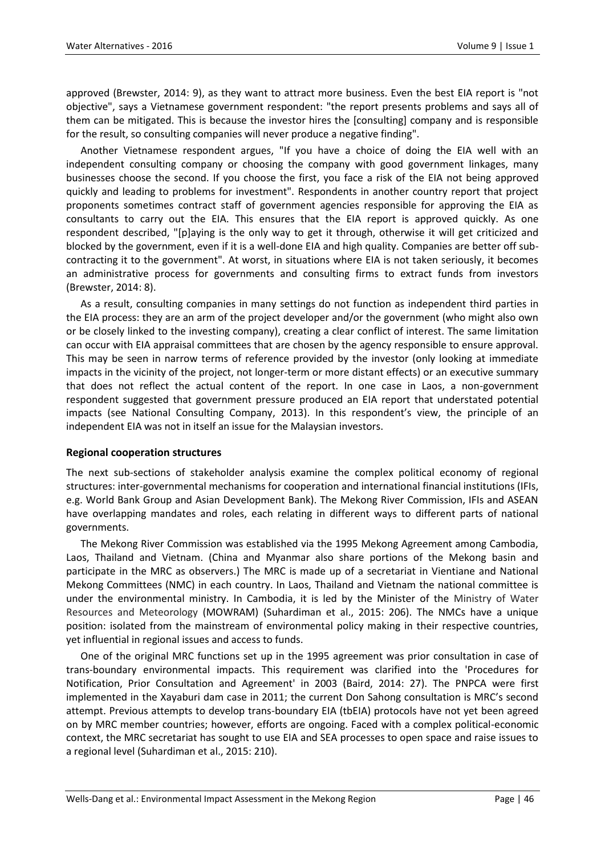approved (Brewster, 2014: 9), as they want to attract more business. Even the best EIA report is "not objective", says a Vietnamese government respondent: "the report presents problems and says all of them can be mitigated. This is because the investor hires the [consulting] company and is responsible for the result, so consulting companies will never produce a negative finding".

Another Vietnamese respondent argues, "If you have a choice of doing the EIA well with an independent consulting company or choosing the company with good government linkages, many businesses choose the second. If you choose the first, you face a risk of the EIA not being approved quickly and leading to problems for investment". Respondents in another country report that project proponents sometimes contract staff of government agencies responsible for approving the EIA as consultants to carry out the EIA. This ensures that the EIA report is approved quickly. As one respondent described, "[p]aying is the only way to get it through, otherwise it will get criticized and blocked by the government, even if it is a well-done EIA and high quality. Companies are better off subcontracting it to the government". At worst, in situations where EIA is not taken seriously, it becomes an administrative process for governments and consulting firms to extract funds from investors (Brewster, 2014: 8).

As a result, consulting companies in many settings do not function as independent third parties in the EIA process: they are an arm of the project developer and/or the government (who might also own or be closely linked to the investing company), creating a clear conflict of interest. The same limitation can occur with EIA appraisal committees that are chosen by the agency responsible to ensure approval. This may be seen in narrow terms of reference provided by the investor (only looking at immediate impacts in the vicinity of the project, not longer-term or more distant effects) or an executive summary that does not reflect the actual content of the report. In one case in Laos, a non-government respondent suggested that government pressure produced an EIA report that understated potential impacts (see National Consulting Company, 2013). In this respondent's view, the principle of an independent EIA was not in itself an issue for the Malaysian investors.

#### **Regional cooperation structures**

The next sub-sections of stakeholder analysis examine the complex political economy of regional structures: inter-governmental mechanisms for cooperation and international financial institutions (IFIs, e.g. World Bank Group and Asian Development Bank). The Mekong River Commission, IFIs and ASEAN have overlapping mandates and roles, each relating in different ways to different parts of national governments.

The Mekong River Commission was established via the 1995 Mekong Agreement among Cambodia, Laos, Thailand and Vietnam. (China and Myanmar also share portions of the Mekong basin and participate in the MRC as observers.) The MRC is made up of a secretariat in Vientiane and National Mekong Committees (NMC) in each country. In Laos, Thailand and Vietnam the national committee is under the environmental ministry. In Cambodia, it is led by the Minister of the Ministry of Water Resources and Meteorology (MOWRAM) (Suhardiman et al., 2015: 206). The NMCs have a unique position: isolated from the mainstream of environmental policy making in their respective countries, yet influential in regional issues and access to funds.

One of the original MRC functions set up in the 1995 agreement was prior consultation in case of trans-boundary environmental impacts. This requirement was clarified into the 'Procedures for Notification, Prior Consultation and Agreement' in 2003 (Baird, 2014: 27). The PNPCA were first implemented in the Xayaburi dam case in 2011; the current Don Sahong consultation is MRC's second attempt. Previous attempts to develop trans-boundary EIA (tbEIA) protocols have not yet been agreed on by MRC member countries; however, efforts are ongoing. Faced with a complex political-economic context, the MRC secretariat has sought to use EIA and SEA processes to open space and raise issues to a regional level (Suhardiman et al., 2015: 210).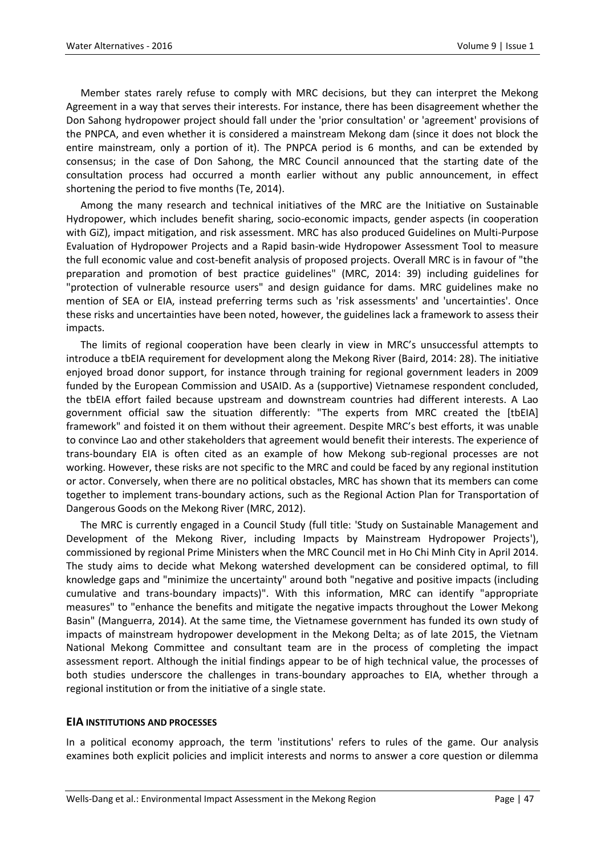Member states rarely refuse to comply with MRC decisions, but they can interpret the Mekong Agreement in a way that serves their interests. For instance, there has been disagreement whether the Don Sahong hydropower project should fall under the 'prior consultation' or 'agreement' provisions of the PNPCA, and even whether it is considered a mainstream Mekong dam (since it does not block the entire mainstream, only a portion of it). The PNPCA period is 6 months, and can be extended by consensus; in the case of Don Sahong, the MRC Council announced that the starting date of the consultation process had occurred a month earlier without any public announcement, in effect shortening the period to five months (Te, 2014).

Among the many research and technical initiatives of the MRC are the Initiative on Sustainable Hydropower, which includes benefit sharing, socio-economic impacts, gender aspects (in cooperation with GiZ), impact mitigation, and risk assessment. MRC has also produced Guidelines on Multi-Purpose Evaluation of Hydropower Projects and a Rapid basin-wide Hydropower Assessment Tool to measure the full economic value and cost-benefit analysis of proposed projects. Overall MRC is in favour of "the preparation and promotion of best practice guidelines" (MRC, 2014: 39) including guidelines for "protection of vulnerable resource users" and design guidance for dams. MRC guidelines make no mention of SEA or EIA, instead preferring terms such as 'risk assessments' and 'uncertainties'. Once these risks and uncertainties have been noted, however, the guidelines lack a framework to assess their impacts.

The limits of regional cooperation have been clearly in view in MRC's unsuccessful attempts to introduce a tbEIA requirement for development along the Mekong River (Baird, 2014: 28). The initiative enjoyed broad donor support, for instance through training for regional government leaders in 2009 funded by the European Commission and USAID. As a (supportive) Vietnamese respondent concluded, the tbEIA effort failed because upstream and downstream countries had different interests. A Lao government official saw the situation differently: "The experts from MRC created the [tbEIA] framework" and foisted it on them without their agreement. Despite MRC's best efforts, it was unable to convince Lao and other stakeholders that agreement would benefit their interests. The experience of trans-boundary EIA is often cited as an example of how Mekong sub-regional processes are not working. However, these risks are not specific to the MRC and could be faced by any regional institution or actor. Conversely, when there are no political obstacles, MRC has shown that its members can come together to implement trans-boundary actions, such as the Regional Action Plan for Transportation of Dangerous Goods on the Mekong River (MRC, 2012).

The MRC is currently engaged in a Council Study (full title: 'Study on Sustainable Management and Development of the Mekong River, including Impacts by Mainstream Hydropower Projects'), commissioned by regional Prime Ministers when the MRC Council met in Ho Chi Minh City in April 2014. The study aims to decide what Mekong watershed development can be considered optimal, to fill knowledge gaps and "minimize the uncertainty" around both "negative and positive impacts (including cumulative and trans-boundary impacts)". With this information, MRC can identify "appropriate measures" to "enhance the benefits and mitigate the negative impacts throughout the Lower Mekong Basin" (Manguerra, 2014). At the same time, the Vietnamese government has funded its own study of impacts of mainstream hydropower development in the Mekong Delta; as of late 2015, the Vietnam National Mekong Committee and consultant team are in the process of completing the impact assessment report. Although the initial findings appear to be of high technical value, the processes of both studies underscore the challenges in trans-boundary approaches to EIA, whether through a regional institution or from the initiative of a single state.

#### **EIA INSTITUTIONS AND PROCESSES**

In a political economy approach, the term 'institutions' refers to rules of the game. Our analysis examines both explicit policies and implicit interests and norms to answer a core question or dilemma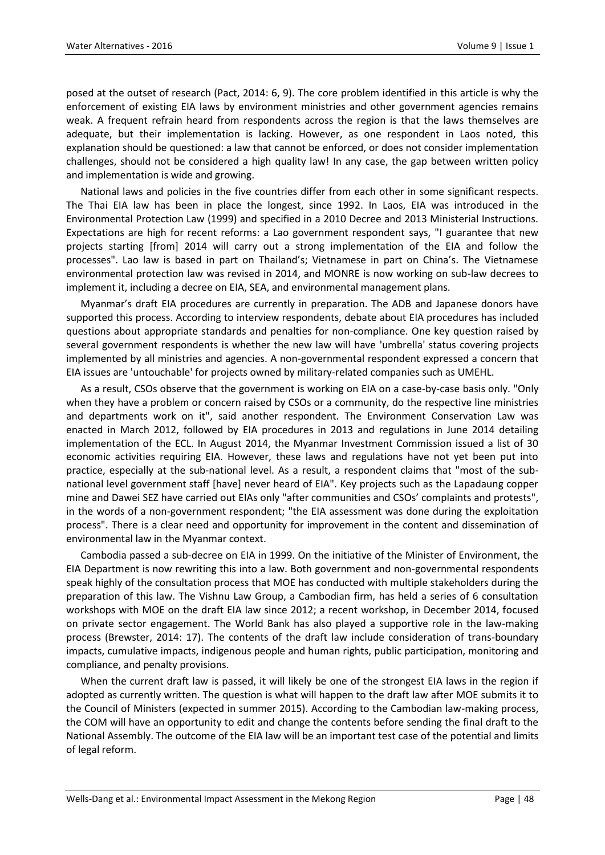posed at the outset of research (Pact, 2014: 6, 9). The core problem identified in this article is why the enforcement of existing EIA laws by environment ministries and other government agencies remains weak. A frequent refrain heard from respondents across the region is that the laws themselves are adequate, but their implementation is lacking. However, as one respondent in Laos noted, this explanation should be questioned: a law that cannot be enforced, or does not consider implementation challenges, should not be considered a high quality law! In any case, the gap between written policy and implementation is wide and growing.

National laws and policies in the five countries differ from each other in some significant respects. The Thai EIA law has been in place the longest, since 1992. In Laos, EIA was introduced in the Environmental Protection Law (1999) and specified in a 2010 Decree and 2013 Ministerial Instructions. Expectations are high for recent reforms: a Lao government respondent says, "I guarantee that new projects starting [from] 2014 will carry out a strong implementation of the EIA and follow the processes". Lao law is based in part on Thailand's; Vietnamese in part on China's. The Vietnamese environmental protection law was revised in 2014, and MONRE is now working on sub-law decrees to implement it, including a decree on EIA, SEA, and environmental management plans.

Myanmar's draft EIA procedures are currently in preparation. The ADB and Japanese donors have supported this process. According to interview respondents, debate about EIA procedures has included questions about appropriate standards and penalties for non-compliance. One key question raised by several government respondents is whether the new law will have 'umbrella' status covering projects implemented by all ministries and agencies. A non-governmental respondent expressed a concern that EIA issues are 'untouchable' for projects owned by military-related companies such as UMEHL.

As a result, CSOs observe that the government is working on EIA on a case-by-case basis only. "Only when they have a problem or concern raised by CSOs or a community, do the respective line ministries and departments work on it", said another respondent. The Environment Conservation Law was enacted in March 2012, followed by EIA procedures in 2013 and regulations in June 2014 detailing implementation of the ECL. In August 2014, the Myanmar Investment Commission issued a list of 30 economic activities requiring EIA. However, these laws and regulations have not yet been put into practice, especially at the sub-national level. As a result, a respondent claims that "most of the subnational level government staff [have] never heard of EIA". Key projects such as the Lapadaung copper mine and Dawei SEZ have carried out EIAs only "after communities and CSOs' complaints and protests", in the words of a non-government respondent; "the EIA assessment was done during the exploitation process". There is a clear need and opportunity for improvement in the content and dissemination of environmental law in the Myanmar context.

Cambodia passed a sub-decree on EIA in 1999. On the initiative of the Minister of Environment, the EIA Department is now rewriting this into a law. Both government and non-governmental respondents speak highly of the consultation process that MOE has conducted with multiple stakeholders during the preparation of this law. The Vishnu Law Group, a Cambodian firm, has held a series of 6 consultation workshops with MOE on the draft EIA law since 2012; a recent workshop, in December 2014, focused on private sector engagement. The World Bank has also played a supportive role in the law-making process (Brewster, 2014: 17). The contents of the draft law include consideration of trans-boundary impacts, cumulative impacts, indigenous people and human rights, public participation, monitoring and compliance, and penalty provisions.

When the current draft law is passed, it will likely be one of the strongest EIA laws in the region if adopted as currently written. The question is what will happen to the draft law after MOE submits it to the Council of Ministers (expected in summer 2015). According to the Cambodian law-making process, the COM will have an opportunity to edit and change the contents before sending the final draft to the National Assembly. The outcome of the EIA law will be an important test case of the potential and limits of legal reform.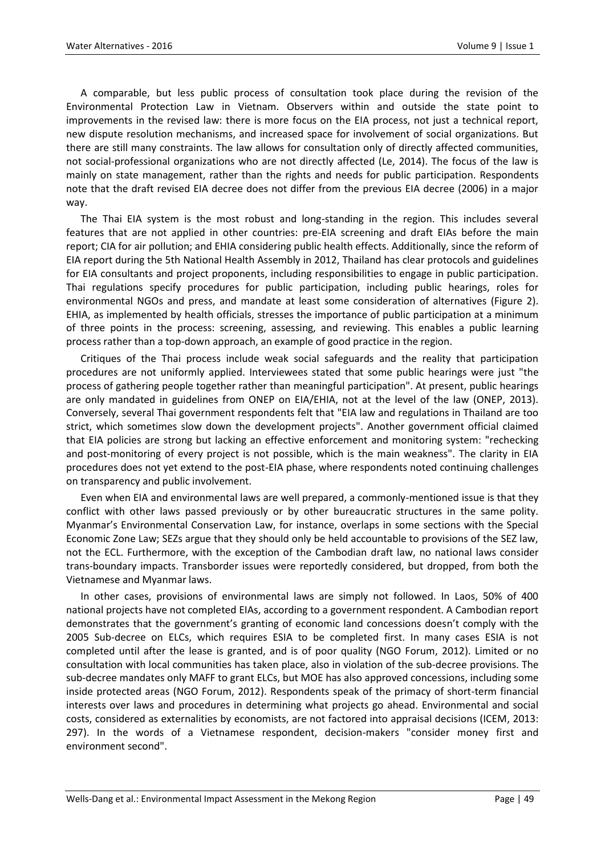A comparable, but less public process of consultation took place during the revision of the Environmental Protection Law in Vietnam. Observers within and outside the state point to improvements in the revised law: there is more focus on the EIA process, not just a technical report, new dispute resolution mechanisms, and increased space for involvement of social organizations. But there are still many constraints. The law allows for consultation only of directly affected communities, not social-professional organizations who are not directly affected (Le, 2014). The focus of the law is mainly on state management, rather than the rights and needs for public participation. Respondents note that the draft revised EIA decree does not differ from the previous EIA decree (2006) in a major way.

The Thai EIA system is the most robust and long-standing in the region. This includes several features that are not applied in other countries: pre-EIA screening and draft EIAs before the main report; CIA for air pollution; and EHIA considering public health effects. Additionally, since the reform of EIA report during the 5th National Health Assembly in 2012, Thailand has clear protocols and guidelines for EIA consultants and project proponents, including responsibilities to engage in public participation. Thai regulations specify procedures for public participation, including public hearings, roles for environmental NGOs and press, and mandate at least some consideration of alternatives (Figure 2). EHIA, as implemented by health officials, stresses the importance of public participation at a minimum of three points in the process: screening, assessing, and reviewing. This enables a public learning process rather than a top-down approach, an example of good practice in the region.

Critiques of the Thai process include weak social safeguards and the reality that participation procedures are not uniformly applied. Interviewees stated that some public hearings were just "the process of gathering people together rather than meaningful participation". At present, public hearings are only mandated in guidelines from ONEP on EIA/EHIA, not at the level of the law (ONEP, 2013). Conversely, several Thai government respondents felt that "EIA law and regulations in Thailand are too strict, which sometimes slow down the development projects". Another government official claimed that EIA policies are strong but lacking an effective enforcement and monitoring system: "rechecking and post-monitoring of every project is not possible, which is the main weakness". The clarity in EIA procedures does not yet extend to the post-EIA phase, where respondents noted continuing challenges on transparency and public involvement.

Even when EIA and environmental laws are well prepared, a commonly-mentioned issue is that they conflict with other laws passed previously or by other bureaucratic structures in the same polity. Myanmar's Environmental Conservation Law, for instance, overlaps in some sections with the Special Economic Zone Law; SEZs argue that they should only be held accountable to provisions of the SEZ law, not the ECL. Furthermore, with the exception of the Cambodian draft law, no national laws consider trans-boundary impacts. Transborder issues were reportedly considered, but dropped, from both the Vietnamese and Myanmar laws.

In other cases, provisions of environmental laws are simply not followed. In Laos, 50% of 400 national projects have not completed EIAs, according to a government respondent. A Cambodian report demonstrates that the government's granting of economic land concessions doesn't comply with the 2005 Sub-decree on ELCs, which requires ESIA to be completed first. In many cases ESIA is not completed until after the lease is granted, and is of poor quality (NGO Forum, 2012). Limited or no consultation with local communities has taken place, also in violation of the sub-decree provisions. The sub-decree mandates only MAFF to grant ELCs, but MOE has also approved concessions, including some inside protected areas (NGO Forum, 2012). Respondents speak of the primacy of short-term financial interests over laws and procedures in determining what projects go ahead. Environmental and social costs, considered as externalities by economists, are not factored into appraisal decisions (ICEM, 2013: 297). In the words of a Vietnamese respondent, decision-makers "consider money first and environment second".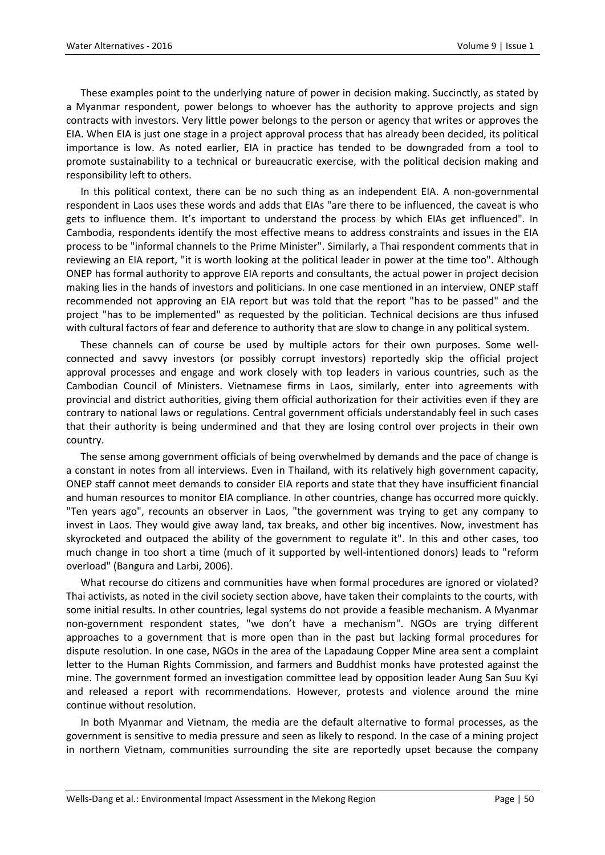These examples point to the underlying nature of power in decision making. Succinctly, as stated by a Myanmar respondent, power belongs to whoever has the authority to approve projects and sign contracts with investors. Very little power belongs to the person or agency that writes or approves the EIA. When EIA is just one stage in a project approval process that has already been decided, its political importance is low. As noted earlier, EIA in practice has tended to be downgraded from a tool to promote sustainability to a technical or bureaucratic exercise, with the political decision making and responsibility left to others.

In this political context, there can be no such thing as an independent EIA. A non-governmental respondent in Laos uses these words and adds that EIAs "are there to be influenced, the caveat is who gets to influence them. It's important to understand the process by which EIAs get influenced". In Cambodia, respondents identify the most effective means to address constraints and issues in the EIA process to be "informal channels to the Prime Minister". Similarly, a Thai respondent comments that in reviewing an EIA report, "it is worth looking at the political leader in power at the time too". Although ONEP has formal authority to approve EIA reports and consultants, the actual power in project decision making lies in the hands of investors and politicians. In one case mentioned in an interview, ONEP staff recommended not approving an EIA report but was told that the report "has to be passed" and the project "has to be implemented" as requested by the politician. Technical decisions are thus infused with cultural factors of fear and deference to authority that are slow to change in any political system.

These channels can of course be used by multiple actors for their own purposes. Some wellconnected and savvy investors (or possibly corrupt investors) reportedly skip the official project approval processes and engage and work closely with top leaders in various countries, such as the Cambodian Council of Ministers. Vietnamese firms in Laos, similarly, enter into agreements with provincial and district authorities, giving them official authorization for their activities even if they are contrary to national laws or regulations. Central government officials understandably feel in such cases that their authority is being undermined and that they are losing control over projects in their own country.

The sense among government officials of being overwhelmed by demands and the pace of change is a constant in notes from all interviews. Even in Thailand, with its relatively high government capacity, ONEP staff cannot meet demands to consider EIA reports and state that they have insufficient financial and human resources to monitor EIA compliance. In other countries, change has occurred more quickly. "Ten years ago", recounts an observer in Laos, "the government was trying to get any company to invest in Laos. They would give away land, tax breaks, and other big incentives. Now, investment has skyrocketed and outpaced the ability of the government to regulate it". In this and other cases, too much change in too short a time (much of it supported by well-intentioned donors) leads to "reform overload" (Bangura and Larbi, 2006).

What recourse do citizens and communities have when formal procedures are ignored or violated? Thai activists, as noted in the civil society section above, have taken their complaints to the courts, with some initial results. In other countries, legal systems do not provide a feasible mechanism. A Myanmar non-government respondent states, "we don't have a mechanism". NGOs are trying different approaches to a government that is more open than in the past but lacking formal procedures for dispute resolution. In one case, NGOs in the area of the Lapadaung Copper Mine area sent a complaint letter to the Human Rights Commission, and farmers and Buddhist monks have protested against the mine. The government formed an investigation committee lead by opposition leader Aung San Suu Kyi and released a report with recommendations. However, protests and violence around the mine continue without resolution.

In both Myanmar and Vietnam, the media are the default alternative to formal processes, as the government is sensitive to media pressure and seen as likely to respond. In the case of a mining project in northern Vietnam, communities surrounding the site are reportedly upset because the company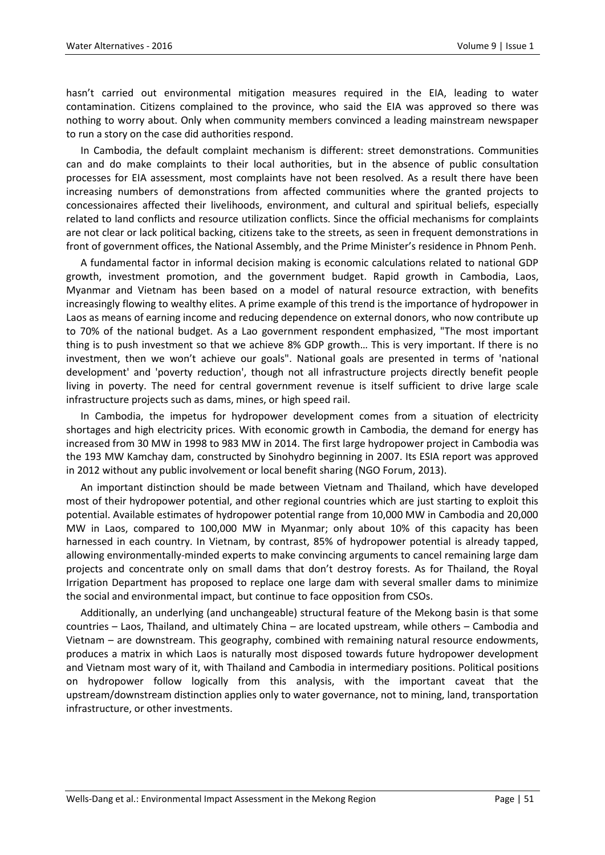hasn't carried out environmental mitigation measures required in the EIA, leading to water contamination. Citizens complained to the province, who said the EIA was approved so there was nothing to worry about. Only when community members convinced a leading mainstream newspaper to run a story on the case did authorities respond.

In Cambodia, the default complaint mechanism is different: street demonstrations. Communities can and do make complaints to their local authorities, but in the absence of public consultation processes for EIA assessment, most complaints have not been resolved. As a result there have been increasing numbers of demonstrations from affected communities where the granted projects to concessionaires affected their livelihoods, environment, and cultural and spiritual beliefs, especially related to land conflicts and resource utilization conflicts. Since the official mechanisms for complaints are not clear or lack political backing, citizens take to the streets, as seen in frequent demonstrations in front of government offices, the National Assembly, and the Prime Minister's residence in Phnom Penh.

A fundamental factor in informal decision making is economic calculations related to national GDP growth, investment promotion, and the government budget. Rapid growth in Cambodia, Laos, Myanmar and Vietnam has been based on a model of natural resource extraction, with benefits increasingly flowing to wealthy elites. A prime example of this trend is the importance of hydropower in Laos as means of earning income and reducing dependence on external donors, who now contribute up to 70% of the national budget. As a Lao government respondent emphasized, "The most important thing is to push investment so that we achieve 8% GDP growth… This is very important. If there is no investment, then we won't achieve our goals". National goals are presented in terms of 'national development' and 'poverty reduction', though not all infrastructure projects directly benefit people living in poverty. The need for central government revenue is itself sufficient to drive large scale infrastructure projects such as dams, mines, or high speed rail.

In Cambodia, the impetus for hydropower development comes from a situation of electricity shortages and high electricity prices. With economic growth in Cambodia, the demand for energy has increased from 30 MW in 1998 to 983 MW in 2014. The first large hydropower project in Cambodia was the 193 MW Kamchay dam, constructed by Sinohydro beginning in 2007. Its ESIA report was approved in 2012 without any public involvement or local benefit sharing (NGO Forum, 2013).

An important distinction should be made between Vietnam and Thailand, which have developed most of their hydropower potential, and other regional countries which are just starting to exploit this potential. Available estimates of hydropower potential range from 10,000 MW in Cambodia and 20,000 MW in Laos, compared to 100,000 MW in Myanmar; only about 10% of this capacity has been harnessed in each country. In Vietnam, by contrast, 85% of hydropower potential is already tapped, allowing environmentally-minded experts to make convincing arguments to cancel remaining large dam projects and concentrate only on small dams that don't destroy forests. As for Thailand, the Royal Irrigation Department has proposed to replace one large dam with several smaller dams to minimize the social and environmental impact, but continue to face opposition from CSOs.

Additionally, an underlying (and unchangeable) structural feature of the Mekong basin is that some countries – Laos, Thailand, and ultimately China – are located upstream, while others – Cambodia and Vietnam – are downstream. This geography, combined with remaining natural resource endowments, produces a matrix in which Laos is naturally most disposed towards future hydropower development and Vietnam most wary of it, with Thailand and Cambodia in intermediary positions. Political positions on hydropower follow logically from this analysis, with the important caveat that the upstream/downstream distinction applies only to water governance, not to mining, land, transportation infrastructure, or other investments.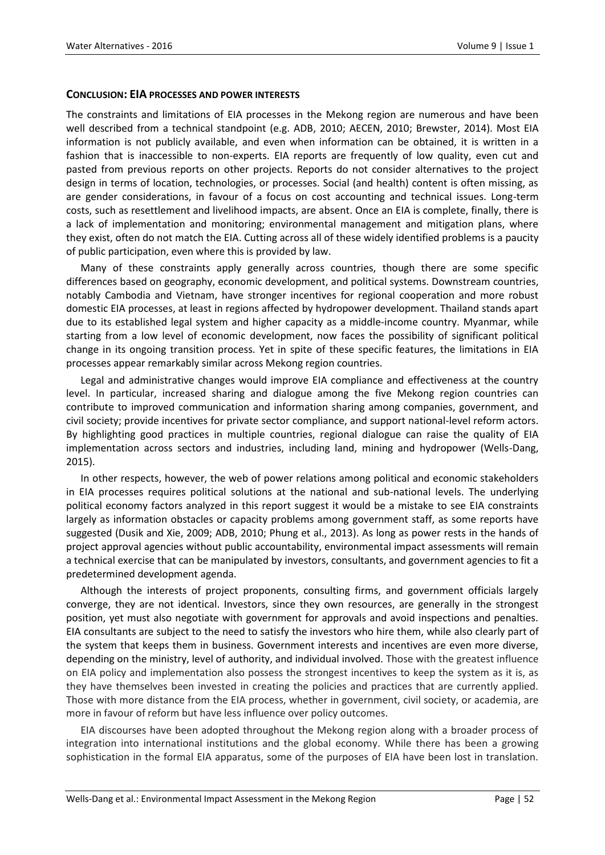#### **CONCLUSION: EIA PROCESSES AND POWER INTERESTS**

The constraints and limitations of EIA processes in the Mekong region are numerous and have been well described from a technical standpoint (e.g. ADB, 2010; AECEN, 2010; Brewster, 2014). Most EIA information is not publicly available, and even when information can be obtained, it is written in a fashion that is inaccessible to non-experts. EIA reports are frequently of low quality, even cut and pasted from previous reports on other projects. Reports do not consider alternatives to the project design in terms of location, technologies, or processes. Social (and health) content is often missing, as are gender considerations, in favour of a focus on cost accounting and technical issues. Long-term costs, such as resettlement and livelihood impacts, are absent. Once an EIA is complete, finally, there is a lack of implementation and monitoring; environmental management and mitigation plans, where they exist, often do not match the EIA. Cutting across all of these widely identified problems is a paucity of public participation, even where this is provided by law.

Many of these constraints apply generally across countries, though there are some specific differences based on geography, economic development, and political systems. Downstream countries, notably Cambodia and Vietnam, have stronger incentives for regional cooperation and more robust domestic EIA processes, at least in regions affected by hydropower development. Thailand stands apart due to its established legal system and higher capacity as a middle-income country. Myanmar, while starting from a low level of economic development, now faces the possibility of significant political change in its ongoing transition process. Yet in spite of these specific features, the limitations in EIA processes appear remarkably similar across Mekong region countries.

Legal and administrative changes would improve EIA compliance and effectiveness at the country level. In particular, increased sharing and dialogue among the five Mekong region countries can contribute to improved communication and information sharing among companies, government, and civil society; provide incentives for private sector compliance, and support national-level reform actors. By highlighting good practices in multiple countries, regional dialogue can raise the quality of EIA implementation across sectors and industries, including land, mining and hydropower (Wells-Dang, 2015).

In other respects, however, the web of power relations among political and economic stakeholders in EIA processes requires political solutions at the national and sub-national levels. The underlying political economy factors analyzed in this report suggest it would be a mistake to see EIA constraints largely as information obstacles or capacity problems among government staff, as some reports have suggested (Dusik and Xie, 2009; ADB, 2010; Phung et al., 2013). As long as power rests in the hands of project approval agencies without public accountability, environmental impact assessments will remain a technical exercise that can be manipulated by investors, consultants, and government agencies to fit a predetermined development agenda.

Although the interests of project proponents, consulting firms, and government officials largely converge, they are not identical. Investors, since they own resources, are generally in the strongest position, yet must also negotiate with government for approvals and avoid inspections and penalties. EIA consultants are subject to the need to satisfy the investors who hire them, while also clearly part of the system that keeps them in business. Government interests and incentives are even more diverse, depending on the ministry, level of authority, and individual involved. Those with the greatest influence on EIA policy and implementation also possess the strongest incentives to keep the system as it is, as they have themselves been invested in creating the policies and practices that are currently applied. Those with more distance from the EIA process, whether in government, civil society, or academia, are more in favour of reform but have less influence over policy outcomes.

EIA discourses have been adopted throughout the Mekong region along with a broader process of integration into international institutions and the global economy. While there has been a growing sophistication in the formal EIA apparatus, some of the purposes of EIA have been lost in translation.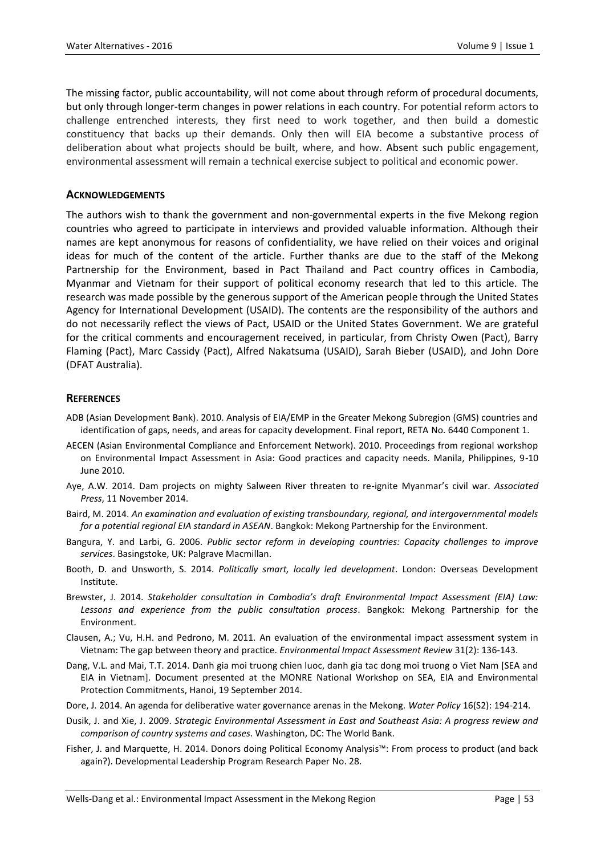The missing factor, public accountability, will not come about through reform of procedural documents, but only through longer-term changes in power relations in each country. For potential reform actors to challenge entrenched interests, they first need to work together, and then build a domestic constituency that backs up their demands. Only then will EIA become a substantive process of deliberation about what projects should be built, where, and how. Absent such public engagement, environmental assessment will remain a technical exercise subject to political and economic power.

### **ACKNOWLEDGEMENTS**

The authors wish to thank the government and non-governmental experts in the five Mekong region countries who agreed to participate in interviews and provided valuable information. Although their names are kept anonymous for reasons of confidentiality, we have relied on their voices and original ideas for much of the content of the article. Further thanks are due to the staff of the Mekong Partnership for the Environment, based in Pact Thailand and Pact country offices in Cambodia, Myanmar and Vietnam for their support of political economy research that led to this article. The research was made possible by the generous support of the American people through the United States Agency for International Development (USAID). The contents are the responsibility of the authors and do not necessarily reflect the views of Pact, USAID or the United States Government. We are grateful for the critical comments and encouragement received, in particular, from Christy Owen (Pact), Barry Flaming (Pact), Marc Cassidy (Pact), Alfred Nakatsuma (USAID), Sarah Bieber (USAID), and John Dore (DFAT Australia).

#### **REFERENCES**

- ADB (Asian Development Bank). 2010. Analysis of EIA/EMP in the Greater Mekong Subregion (GMS) countries and identification of gaps, needs, and areas for capacity development. Final report, RETA No. 6440 Component 1.
- AECEN (Asian Environmental Compliance and Enforcement Network). 2010. Proceedings from regional workshop on Environmental Impact Assessment in Asia: Good practices and capacity needs. Manila, Philippines, 9-10 June 2010.
- Aye, A.W. 2014. Dam projects on mighty Salween River threaten to re-ignite Myanmar's civil war. *Associated Press*, 11 November 2014.
- Baird, M. 2014. *An examination and evaluation of existing transboundary, regional, and intergovernmental models for a potential regional EIA standard in ASEAN*. Bangkok: Mekong Partnership for the Environment.
- Bangura, Y. and Larbi, G. 2006. *Public sector reform in developing countries: Capacity challenges to improve services*. Basingstoke, UK: Palgrave Macmillan.
- Booth, D. and Unsworth, S. 2014. *Politically smart, locally led development*. London: Overseas Development Institute.
- Brewster, J. 2014. *Stakeholder consultation in Cambodia's draft Environmental Impact Assessment (EIA) Law: Lessons and experience from the public consultation process*. Bangkok: Mekong Partnership for the Environment.
- Clausen, A.; Vu, H.H. and Pedrono, M. 2011. An evaluation of the environmental impact assessment system in Vietnam: The gap between theory and practice. *Environmental Impact Assessment Review* 31(2): 136-143.
- Dang, V.L. and Mai, T.T. 2014. Danh gia moi truong chien luoc, danh gia tac dong moi truong o Viet Nam [SEA and EIA in Vietnam]. Document presented at the MONRE National Workshop on SEA, EIA and Environmental Protection Commitments, Hanoi, 19 September 2014.
- Dore, J. 2014. An agenda for deliberative water governance arenas in the Mekong. *Water Policy* 16(S2): 194-214.
- Dusik, J. and Xie, J. 2009. *Strategic Environmental Assessment in East and Southeast Asia: A progress review and comparison of country systems and cases*. Washington, DC: The World Bank.
- Fisher, J. and Marquette, H. 2014. Donors doing Political Economy Analysis™: From process to product (and back again?). Developmental Leadership Program Research Paper No. 28.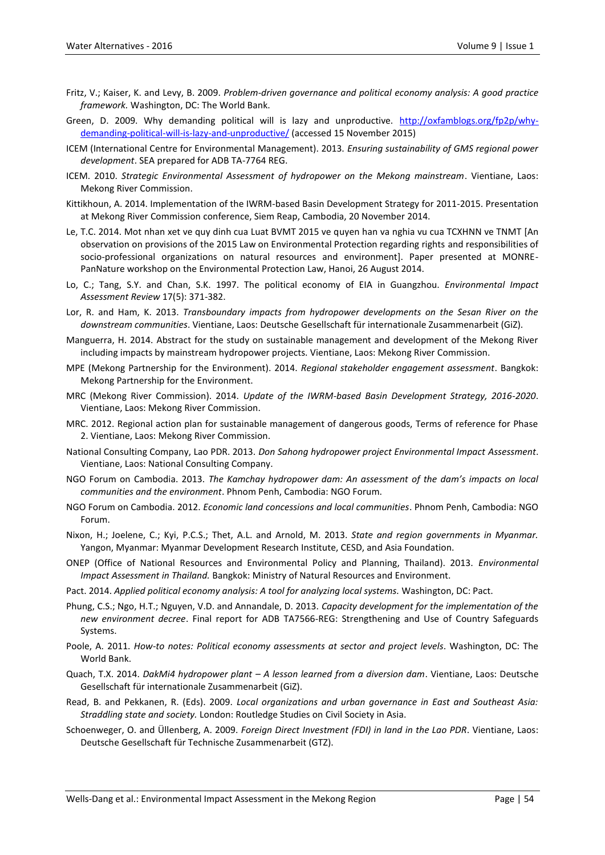- Fritz, V.; Kaiser, K. and Levy, B. 2009. *Problem-driven governance and political economy analysis: A good practice framework.* Washington, DC: The World Bank.
- Green, D. 2009. Why demanding political will is lazy and unproductive. [http://oxfamblogs.org/fp2p/why](http://oxfamblogs.org/fp2p/why-demanding-political-will-is-lazy-and-unproductive/)[demanding-political-will-is-lazy-and-unproductive/](http://oxfamblogs.org/fp2p/why-demanding-political-will-is-lazy-and-unproductive/) (accessed 15 November 2015)
- ICEM (International Centre for Environmental Management). 2013. *Ensuring sustainability of GMS regional power development*. SEA prepared for ADB TA-7764 REG.
- ICEM. 2010. *Strategic Environmental Assessment of hydropower on the Mekong mainstream*. Vientiane, Laos: Mekong River Commission.
- Kittikhoun, A. 2014. Implementation of the IWRM-based Basin Development Strategy for 2011-2015. Presentation at Mekong River Commission conference, Siem Reap, Cambodia, 20 November 2014.
- Le, T.C. 2014. Mot nhan xet ve quy dinh cua Luat BVMT 2015 ve quyen han va nghia vu cua TCXHNN ve TNMT [An observation on provisions of the 2015 Law on Environmental Protection regarding rights and responsibilities of socio-professional organizations on natural resources and environment]. Paper presented at MONRE-PanNature workshop on the Environmental Protection Law, Hanoi, 26 August 2014.
- Lo, C.; Tang, S.Y. and Chan, S.K. 1997. The political economy of EIA in Guangzhou. *Environmental Impact Assessment Review* 17(5): 371-382.
- Lor, R. and Ham, K. 2013. *Transboundary impacts from hydropower developments on the Sesan River on the downstream communities*. Vientiane, Laos: Deutsche Gesellschaft für internationale Zusammenarbeit (GiZ).
- Manguerra, H. 2014. Abstract for the study on sustainable management and development of the Mekong River including impacts by mainstream hydropower projects. Vientiane, Laos: Mekong River Commission.
- MPE (Mekong Partnership for the Environment). 2014. *Regional stakeholder engagement assessment*. Bangkok: Mekong Partnership for the Environment.
- MRC (Mekong River Commission). 2014. *Update of the IWRM-based Basin Development Strategy, 2016-2020*. Vientiane, Laos: Mekong River Commission.
- MRC. 2012. Regional action plan for sustainable management of dangerous goods, Terms of reference for Phase 2. Vientiane, Laos: Mekong River Commission.
- National Consulting Company, Lao PDR. 2013. *Don Sahong hydropower project Environmental Impact Assessment*. Vientiane, Laos: National Consulting Company.
- NGO Forum on Cambodia. 2013. *The Kamchay hydropower dam: An assessment of the dam's impacts on local communities and the environment*. Phnom Penh, Cambodia: NGO Forum.
- NGO Forum on Cambodia. 2012. *Economic land concessions and local communities*. Phnom Penh, Cambodia: NGO Forum.
- Nixon, H.; Joelene, C.; Kyi, P.C.S.; Thet, A.L. and Arnold, M. 2013. *State and region governments in Myanmar.*  Yangon, Myanmar: Myanmar Development Research Institute, CESD, and Asia Foundation.
- ONEP (Office of National Resources and Environmental Policy and Planning, Thailand). 2013. *Environmental Impact Assessment in Thailand.* Bangkok: Ministry of Natural Resources and Environment.
- Pact. 2014. *Applied political economy analysis: A tool for analyzing local systems.* Washington, DC: Pact.
- Phung, C.S.; Ngo, H.T.; Nguyen, V.D. and Annandale, D. 2013. *Capacity development for the implementation of the new environment decree*. Final report for ADB TA7566-REG: Strengthening and Use of Country Safeguards Systems.
- Poole, A. 2011. *How-to notes: Political economy assessments at sector and project levels*. Washington, DC: The World Bank.
- Quach, T.X. 2014. *DakMi4 hydropower plant – A lesson learned from a diversion dam*. Vientiane, Laos: Deutsche Gesellschaft für internationale Zusammenarbeit (GiZ).
- Read, B. and Pekkanen, R. (Eds). 2009. *Local organizations and urban governance in East and Southeast Asia: Straddling state and society.* London: Routledge Studies on Civil Society in Asia.
- Schoenweger, O. and Üllenberg, A. 2009. *Foreign Direct Investment (FDI) in land in the Lao PDR*. Vientiane, Laos: Deutsche Gesellschaft für Technische Zusammenarbeit (GTZ).